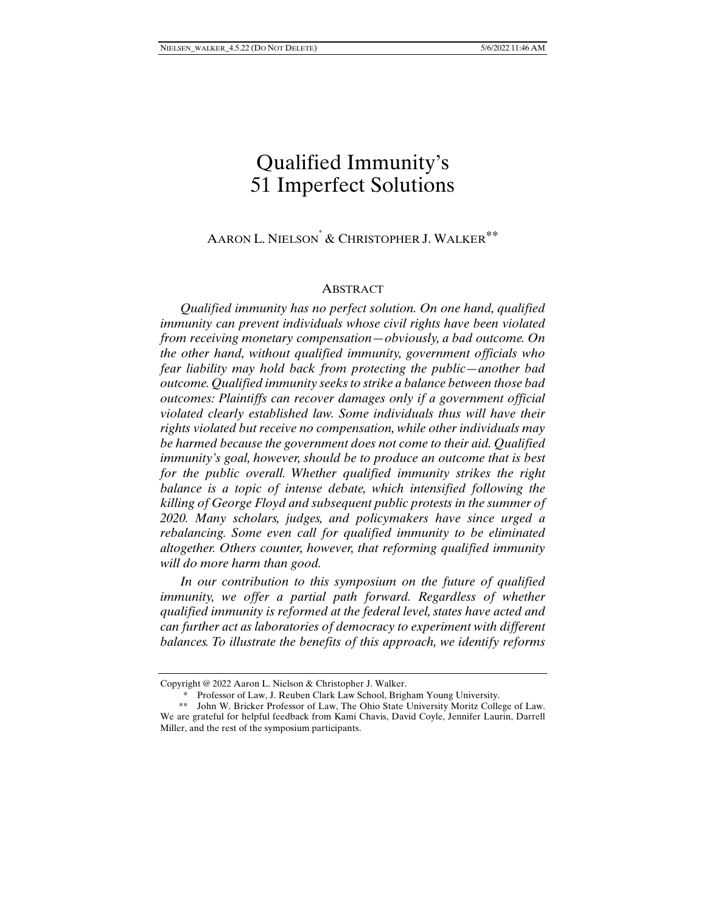# Qualified Immunity's 51 Imperfect Solutions

# AARON L. NIELSON<sup>\*</sup> & CHRISTOPHER J. WALKER<sup>\*\*</sup>

#### **ABSTRACT**

*Qualified immunity has no perfect solution. On one hand, qualified immunity can prevent individuals whose civil rights have been violated from receiving monetary compensation—obviously, a bad outcome. On the other hand, without qualified immunity, government officials who fear liability may hold back from protecting the public—another bad outcome. Qualified immunity seeks to strike a balance between those bad outcomes: Plaintiffs can recover damages only if a government official violated clearly established law. Some individuals thus will have their rights violated but receive no compensation, while other individuals may be harmed because the government does not come to their aid. Qualified immunity's goal, however, should be to produce an outcome that is best for the public overall. Whether qualified immunity strikes the right balance is a topic of intense debate, which intensified following the killing of George Floyd and subsequent public protests in the summer of 2020. Many scholars, judges, and policymakers have since urged a rebalancing. Some even call for qualified immunity to be eliminated altogether. Others counter, however, that reforming qualified immunity will do more harm than good.* 

*In our contribution to this symposium on the future of qualified immunity, we offer a partial path forward. Regardless of whether qualified immunity is reformed at the federal level, states have acted and can further act as laboratories of democracy to experiment with different balances. To illustrate the benefits of this approach, we identify reforms* 

Copyright @ 2022 Aaron L. Nielson & Christopher J. Walker.

 <sup>\*</sup> Professor of Law, J. Reuben Clark Law School, Brigham Young University.

 <sup>\*\*</sup> John W. Bricker Professor of Law, The Ohio State University Moritz College of Law. We are grateful for helpful feedback from Kami Chavis, David Coyle, Jennifer Laurin, Darrell Miller, and the rest of the symposium participants.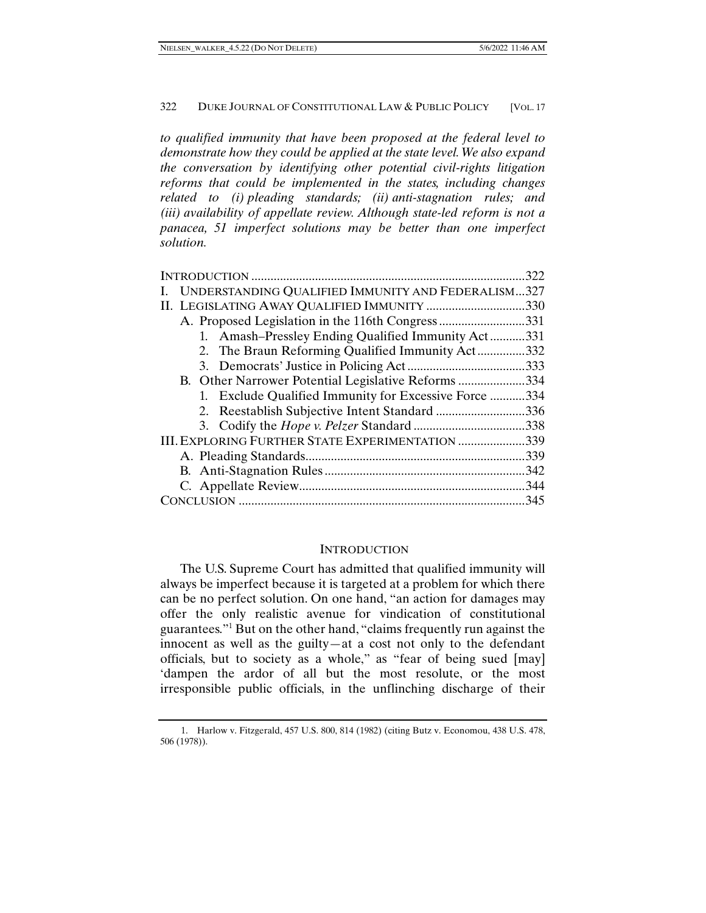*to qualified immunity that have been proposed at the federal level to demonstrate how they could be applied at the state level. We also expand the conversation by identifying other potential civil-rights litigation reforms that could be implemented in the states, including changes related to (i) pleading standards; (ii) anti-stagnation rules; and (iii) availability of appellate review. Although state-led reform is not a panacea, 51 imperfect solutions may be better than one imperfect solution.* 

|                                                              | 322  |
|--------------------------------------------------------------|------|
| UNDERSTANDING QUALIFIED IMMUNITY AND FEDERALISM327           |      |
|                                                              | 330  |
| 331                                                          |      |
| 1. Amash–Pressley Ending Qualified Immunity Act              | 331  |
| 2. The Braun Reforming Qualified Immunity Act                | .332 |
| .333                                                         |      |
| B. Other Narrower Potential Legislative Reforms 334          |      |
| 1. Exclude Qualified Immunity for Excessive Force            | 334  |
| .336                                                         |      |
|                                                              |      |
| <b>III. EXPLORING FURTHER STATE EXPERIMENTATION </b><br>.339 |      |
|                                                              | 339  |
| .342                                                         |      |
| 344                                                          |      |
|                                                              | 345  |

#### **INTRODUCTION**

The U.S. Supreme Court has admitted that qualified immunity will always be imperfect because it is targeted at a problem for which there can be no perfect solution. On one hand, "an action for damages may offer the only realistic avenue for vindication of constitutional guarantees."1 But on the other hand, "claims frequently run against the innocent as well as the guilty—at a cost not only to the defendant officials, but to society as a whole," as "fear of being sued [may] 'dampen the ardor of all but the most resolute, or the most irresponsible public officials, in the unflinching discharge of their

 <sup>1.</sup> Harlow v. Fitzgerald, 457 U.S. 800, 814 (1982) (citing Butz v. Economou, 438 U.S. 478, 506 (1978)).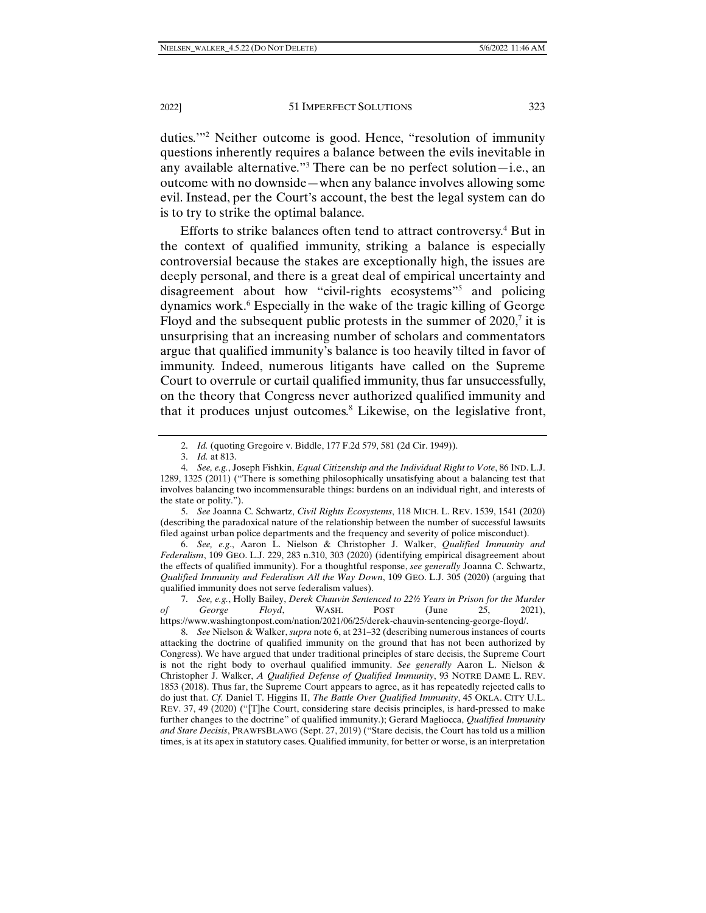duties."<sup>2</sup> Neither outcome is good. Hence, "resolution of immunity questions inherently requires a balance between the evils inevitable in any available alternative."3 There can be no perfect solution—i.e., an outcome with no downside—when any balance involves allowing some evil. Instead, per the Court's account, the best the legal system can do is to try to strike the optimal balance.

Efforts to strike balances often tend to attract controversy.<sup>4</sup> But in the context of qualified immunity, striking a balance is especially controversial because the stakes are exceptionally high, the issues are deeply personal, and there is a great deal of empirical uncertainty and disagreement about how "civil-rights ecosystems"5 and policing dynamics work.<sup>6</sup> Especially in the wake of the tragic killing of George Floyd and the subsequent public protests in the summer of 2020,<sup>7</sup> it is unsurprising that an increasing number of scholars and commentators argue that qualified immunity's balance is too heavily tilted in favor of immunity. Indeed, numerous litigants have called on the Supreme Court to overrule or curtail qualified immunity, thus far unsuccessfully, on the theory that Congress never authorized qualified immunity and that it produces unjust outcomes.<sup>8</sup> Likewise, on the legislative front,

 6. *See, e.g*., Aaron L. Nielson & Christopher J. Walker, *Qualified Immunity and Federalism*, 109 GEO. L.J. 229, 283 n.310, 303 (2020) (identifying empirical disagreement about the effects of qualified immunity). For a thoughtful response, *see generally* Joanna C. Schwartz, *Qualified Immunity and Federalism All the Way Down*, 109 GEO. L.J. 305 (2020) (arguing that qualified immunity does not serve federalism values).

 7. *See, e.g.*, Holly Bailey, *Derek Chauvin Sentenced to 22½ Years in Prison for the Murder of George Floyd*, WASH. POST (June 25, 2021), https://www.washingtonpost.com/nation/2021/06/25/derek-chauvin-sentencing-george-floyd/.

 8. *See* Nielson & Walker, *supra* note 6, at 231–32 (describing numerous instances of courts attacking the doctrine of qualified immunity on the ground that has not been authorized by Congress). We have argued that under traditional principles of stare decisis, the Supreme Court is not the right body to overhaul qualified immunity. *See generally* Aaron L. Nielson & Christopher J. Walker, *A Qualified Defense of Qualified Immunity*, 93 NOTRE DAME L. REV. 1853 (2018). Thus far, the Supreme Court appears to agree, as it has repeatedly rejected calls to do just that. *Cf.* Daniel T. Higgins II, *The Battle Over Qualified Immunity*, 45 OKLA. CITY U.L. REV. 37, 49 (2020) ("[T]he Court, considering stare decisis principles, is hard-pressed to make further changes to the doctrine" of qualified immunity.); Gerard Magliocca, *Qualified Immunity and Stare Decisis*, PRAWFSBLAWG (Sept. 27, 2019) ("Stare decisis, the Court has told us a million times, is at its apex in statutory cases. Qualified immunity, for better or worse, is an interpretation

 <sup>2.</sup> *Id.* (quoting Gregoire v. Biddle, 177 F.2d 579, 581 (2d Cir. 1949)).

 <sup>3.</sup> *Id.* at 813.

 <sup>4.</sup> *See, e.g.*, Joseph Fishkin, *Equal Citizenship and the Individual Right to Vote*, 86 IND. L.J. 1289, 1325 (2011) ("There is something philosophically unsatisfying about a balancing test that involves balancing two incommensurable things: burdens on an individual right, and interests of the state or polity.").

 <sup>5.</sup> *See* Joanna C. Schwartz, *Civil Rights Ecosystems*, 118 MICH. L. REV. 1539, 1541 (2020) (describing the paradoxical nature of the relationship between the number of successful lawsuits filed against urban police departments and the frequency and severity of police misconduct).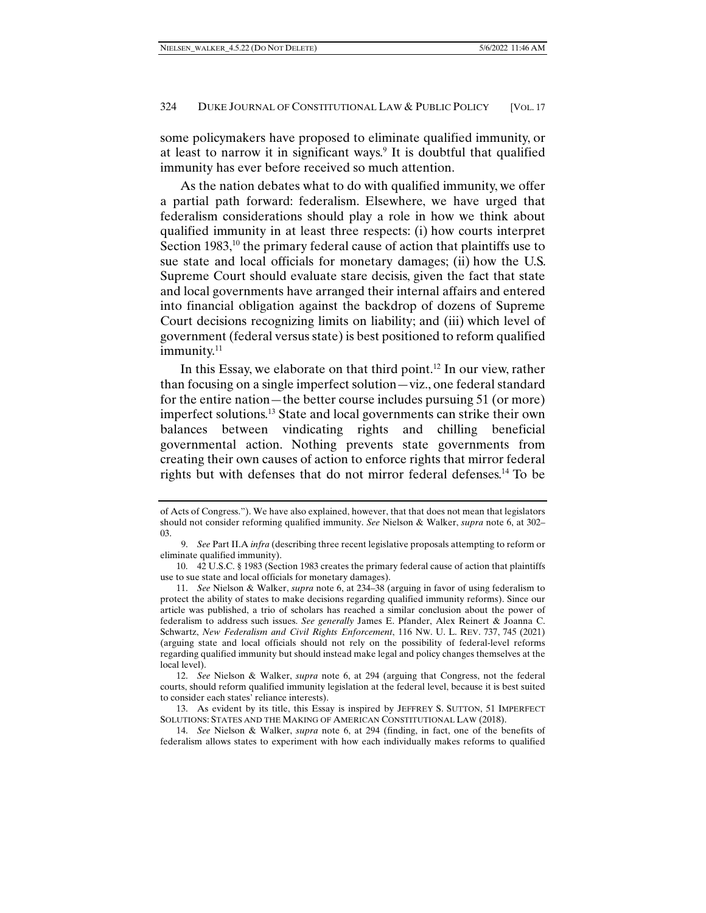some policymakers have proposed to eliminate qualified immunity, or at least to narrow it in significant ways.<sup>9</sup> It is doubtful that qualified immunity has ever before received so much attention.

As the nation debates what to do with qualified immunity, we offer a partial path forward: federalism. Elsewhere, we have urged that federalism considerations should play a role in how we think about qualified immunity in at least three respects: (i) how courts interpret Section 1983, $10$  the primary federal cause of action that plaintiffs use to sue state and local officials for monetary damages; (ii) how the U.S. Supreme Court should evaluate stare decisis, given the fact that state and local governments have arranged their internal affairs and entered into financial obligation against the backdrop of dozens of Supreme Court decisions recognizing limits on liability; and (iii) which level of government (federal versus state) is best positioned to reform qualified  $immunity.<sup>11</sup>$ 

In this Essay, we elaborate on that third point.<sup>12</sup> In our view, rather than focusing on a single imperfect solution—viz., one federal standard for the entire nation—the better course includes pursuing 51 (or more) imperfect solutions.13 State and local governments can strike their own balances between vindicating rights and chilling beneficial governmental action. Nothing prevents state governments from creating their own causes of action to enforce rights that mirror federal rights but with defenses that do not mirror federal defenses.14 To be

of Acts of Congress."). We have also explained, however, that that does not mean that legislators should not consider reforming qualified immunity. *See* Nielson & Walker, *supra* note 6, at 302– 03.

 <sup>9.</sup> *See* Part II.A *infra* (describing three recent legislative proposals attempting to reform or eliminate qualified immunity).

 <sup>10. 42</sup> U.S.C. § 1983 (Section 1983 creates the primary federal cause of action that plaintiffs use to sue state and local officials for monetary damages).

 <sup>11.</sup> *See* Nielson & Walker, *supra* note 6, at 234–38 (arguing in favor of using federalism to protect the ability of states to make decisions regarding qualified immunity reforms). Since our article was published, a trio of scholars has reached a similar conclusion about the power of federalism to address such issues. *See generally* James E. Pfander, Alex Reinert & Joanna C. Schwartz, *New Federalism and Civil Rights Enforcement*, 116 NW. U. L. REV. 737, 745 (2021) (arguing state and local officials should not rely on the possibility of federal-level reforms regarding qualified immunity but should instead make legal and policy changes themselves at the local level).

 <sup>12.</sup> *See* Nielson & Walker, *supra* note 6, at 294 (arguing that Congress, not the federal courts, should reform qualified immunity legislation at the federal level, because it is best suited to consider each states' reliance interests).

 <sup>13.</sup> As evident by its title, this Essay is inspired by JEFFREY S. SUTTON, 51 IMPERFECT SOLUTIONS: STATES AND THE MAKING OF AMERICAN CONSTITUTIONAL LAW (2018).

 <sup>14.</sup> *See* Nielson & Walker, *supra* note 6, at 294 (finding, in fact, one of the benefits of federalism allows states to experiment with how each individually makes reforms to qualified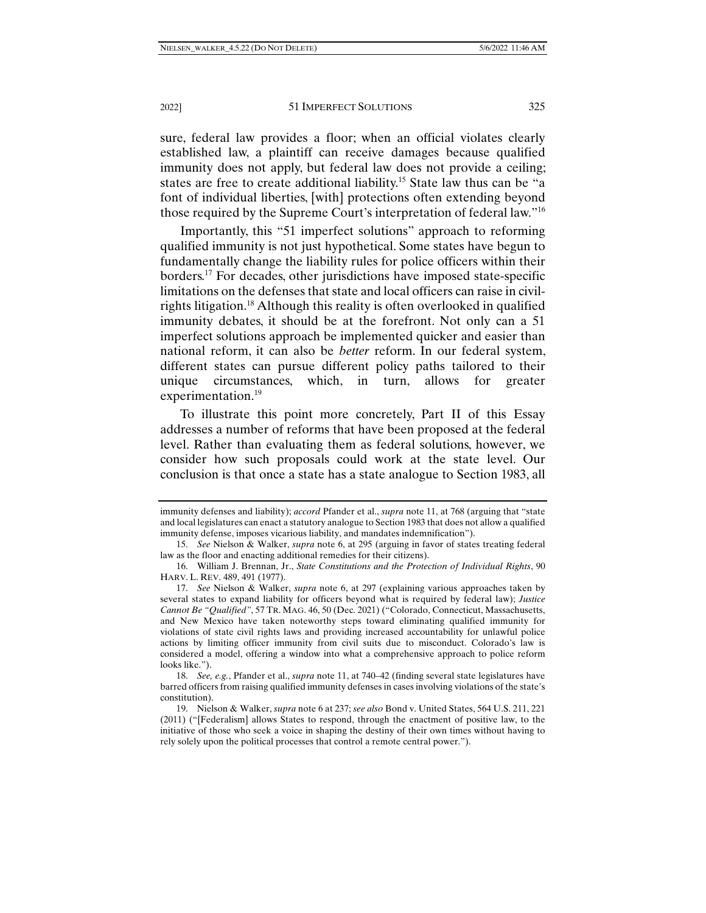sure, federal law provides a floor; when an official violates clearly established law, a plaintiff can receive damages because qualified immunity does not apply, but federal law does not provide a ceiling; states are free to create additional liability.15 State law thus can be "a font of individual liberties, [with] protections often extending beyond those required by the Supreme Court's interpretation of federal law."16

Importantly, this "51 imperfect solutions" approach to reforming qualified immunity is not just hypothetical. Some states have begun to fundamentally change the liability rules for police officers within their borders.17 For decades, other jurisdictions have imposed state-specific limitations on the defenses that state and local officers can raise in civilrights litigation.18 Although this reality is often overlooked in qualified immunity debates, it should be at the forefront. Not only can a 51 imperfect solutions approach be implemented quicker and easier than national reform, it can also be *better* reform. In our federal system, different states can pursue different policy paths tailored to their unique circumstances, which, in turn, allows for greater experimentation.<sup>19</sup>

To illustrate this point more concretely, Part II of this Essay addresses a number of reforms that have been proposed at the federal level. Rather than evaluating them as federal solutions, however, we consider how such proposals could work at the state level. Our conclusion is that once a state has a state analogue to Section 1983, all

immunity defenses and liability); *accord* Pfander et al., *supra* note 11, at 768 (arguing that "state and local legislatures can enact a statutory analogue to Section 1983 that does not allow a qualified immunity defense, imposes vicarious liability, and mandates indemnification").

 <sup>15.</sup> *See* Nielson & Walker, *supra* note 6, at 295 (arguing in favor of states treating federal law as the floor and enacting additional remedies for their citizens).

 <sup>16.</sup> William J. Brennan, Jr., *State Constitutions and the Protection of Individual Rights*, 90 HARV. L. REV. 489, 491 (1977).

 <sup>17.</sup> *See* Nielson & Walker, *supra* note 6, at 297 (explaining various approaches taken by several states to expand liability for officers beyond what is required by federal law); *Justice Cannot Be "Qualified"*, 57 TR. MAG. 46, 50 (Dec. 2021) ("Colorado, Connecticut, Massachusetts, and New Mexico have taken noteworthy steps toward eliminating qualified immunity for violations of state civil rights laws and providing increased accountability for unlawful police actions by limiting officer immunity from civil suits due to misconduct. Colorado's law is considered a model, offering a window into what a comprehensive approach to police reform looks like.").

 <sup>18.</sup> *See, e.g.*, Pfander et al., *supra* note 11, at 740–42 (finding several state legislatures have barred officers from raising qualified immunity defenses in cases involving violations of the state's constitution).

 <sup>19.</sup> Nielson & Walker, *supra* note 6 at 237; *see also* Bond v. United States, 564 U.S. 211, 221 (2011) ("[Federalism] allows States to respond, through the enactment of positive law, to the initiative of those who seek a voice in shaping the destiny of their own times without having to rely solely upon the political processes that control a remote central power.").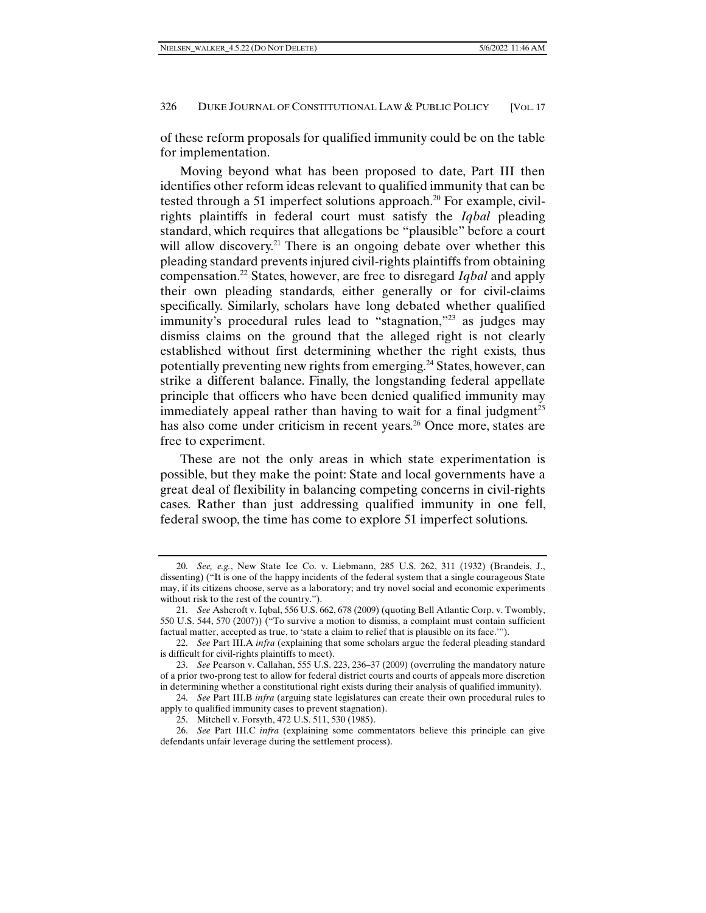of these reform proposals for qualified immunity could be on the table for implementation.

Moving beyond what has been proposed to date, Part III then identifies other reform ideas relevant to qualified immunity that can be tested through a 51 imperfect solutions approach.<sup>20</sup> For example, civilrights plaintiffs in federal court must satisfy the *Iqbal* pleading standard, which requires that allegations be "plausible" before a court will allow discovery.<sup>21</sup> There is an ongoing debate over whether this pleading standard prevents injured civil-rights plaintiffs from obtaining compensation.22 States, however, are free to disregard *Iqbal* and apply their own pleading standards, either generally or for civil-claims specifically. Similarly, scholars have long debated whether qualified immunity's procedural rules lead to "stagnation,"<sup>23</sup> as judges may dismiss claims on the ground that the alleged right is not clearly established without first determining whether the right exists, thus potentially preventing new rights from emerging.<sup>24</sup> States, however, can strike a different balance. Finally, the longstanding federal appellate principle that officers who have been denied qualified immunity may immediately appeal rather than having to wait for a final judgment<sup>25</sup> has also come under criticism in recent years.<sup>26</sup> Once more, states are free to experiment.

These are not the only areas in which state experimentation is possible, but they make the point: State and local governments have a great deal of flexibility in balancing competing concerns in civil-rights cases. Rather than just addressing qualified immunity in one fell, federal swoop, the time has come to explore 51 imperfect solutions.

 24. *See* Part III.B *infra* (arguing state legislatures can create their own procedural rules to apply to qualified immunity cases to prevent stagnation).

 <sup>20.</sup> *See, e.g.*, New State Ice Co. v. Liebmann, 285 U.S. 262, 311 (1932) (Brandeis, J., dissenting) ("It is one of the happy incidents of the federal system that a single courageous State may, if its citizens choose, serve as a laboratory; and try novel social and economic experiments without risk to the rest of the country.").

 <sup>21.</sup> *See* Ashcroft v. Iqbal, 556 U.S. 662, 678 (2009) (quoting Bell Atlantic Corp. v. Twombly, 550 U.S. 544, 570 (2007)) ("To survive a motion to dismiss, a complaint must contain sufficient factual matter, accepted as true, to 'state a claim to relief that is plausible on its face.'").

 <sup>22.</sup> *See* Part III.A *infra* (explaining that some scholars argue the federal pleading standard is difficult for civil-rights plaintiffs to meet).

 <sup>23.</sup> *See* Pearson v. Callahan, 555 U.S. 223, 236–37 (2009) (overruling the mandatory nature of a prior two-prong test to allow for federal district courts and courts of appeals more discretion in determining whether a constitutional right exists during their analysis of qualified immunity).

 <sup>25.</sup> Mitchell v. Forsyth, 472 U.S. 511, 530 (1985).

 <sup>26.</sup> *See* Part III.C *infra* (explaining some commentators believe this principle can give defendants unfair leverage during the settlement process).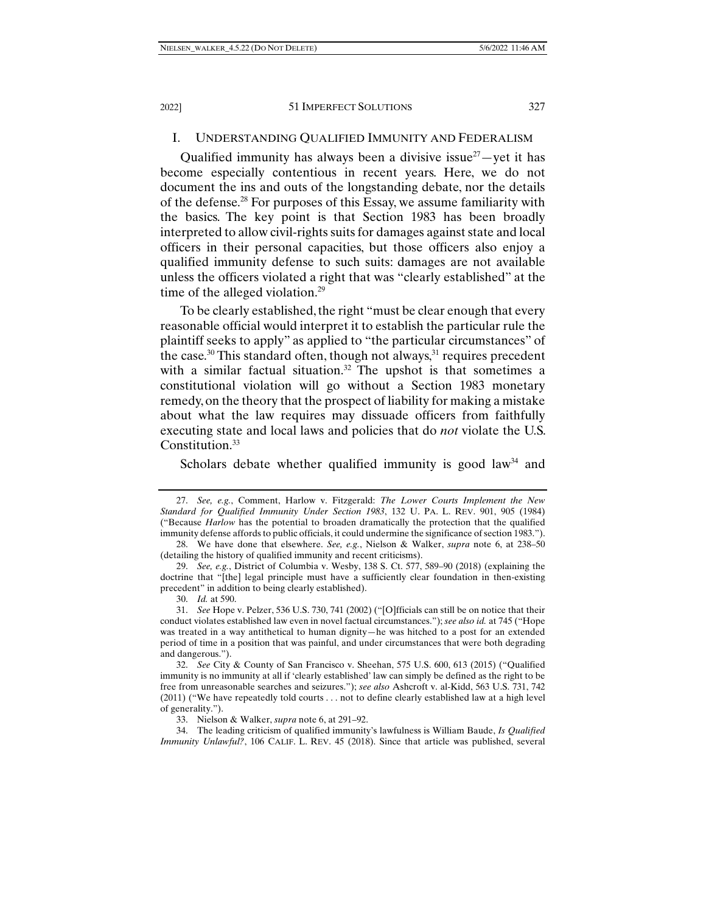#### I. UNDERSTANDING QUALIFIED IMMUNITY AND FEDERALISM

Qualified immunity has always been a divisive issue $27$  -yet it has become especially contentious in recent years. Here, we do not document the ins and outs of the longstanding debate, nor the details of the defense.28 For purposes of this Essay, we assume familiarity with the basics. The key point is that Section 1983 has been broadly interpreted to allow civil-rights suits for damages against state and local officers in their personal capacities, but those officers also enjoy a qualified immunity defense to such suits: damages are not available unless the officers violated a right that was "clearly established" at the time of the alleged violation.<sup>29</sup>

To be clearly established, the right "must be clear enough that every reasonable official would interpret it to establish the particular rule the plaintiff seeks to apply" as applied to "the particular circumstances" of the case.<sup>30</sup> This standard often, though not always, $31$  requires precedent with a similar factual situation.<sup>32</sup> The upshot is that sometimes a constitutional violation will go without a Section 1983 monetary remedy, on the theory that the prospect of liability for making a mistake about what the law requires may dissuade officers from faithfully executing state and local laws and policies that do *not* violate the U.S. Constitution.<sup>33</sup>

Scholars debate whether qualified immunity is good law<sup>34</sup> and

30. *Id.* at 590.

33. Nielson & Walker, *supra* note 6, at 291–92.

 34. The leading criticism of qualified immunity's lawfulness is William Baude, *Is Qualified Immunity Unlawful?*, 106 CALIF. L. REV. 45 (2018). Since that article was published, several

 <sup>27.</sup> *See, e.g.*, Comment, Harlow v. Fitzgerald: *The Lower Courts Implement the New Standard for Qualified Immunity Under Section 1983*, 132 U. PA. L. REV. 901, 905 (1984) ("Because *Harlow* has the potential to broaden dramatically the protection that the qualified immunity defense affords to public officials, it could undermine the significance of section 1983.").

 <sup>28.</sup> We have done that elsewhere. *See, e.g.*, Nielson & Walker, *supra* note 6, at 238–50 (detailing the history of qualified immunity and recent criticisms).

 <sup>29.</sup> *See, e.g.*, District of Columbia v. Wesby, 138 S. Ct. 577, 589–90 (2018) (explaining the doctrine that "[the] legal principle must have a sufficiently clear foundation in then-existing precedent" in addition to being clearly established).

 <sup>31.</sup> *See* Hope v. Pelzer, 536 U.S. 730, 741 (2002) ("[O]fficials can still be on notice that their conduct violates established law even in novel factual circumstances."); *see also id.* at 745 ("Hope was treated in a way antithetical to human dignity—he was hitched to a post for an extended period of time in a position that was painful, and under circumstances that were both degrading and dangerous.").

 <sup>32.</sup> *See* City & County of San Francisco v. Sheehan, 575 U.S. 600, 613 (2015) ("Qualified immunity is no immunity at all if 'clearly established' law can simply be defined as the right to be free from unreasonable searches and seizures."); *see also* Ashcroft v. al-Kidd, 563 U.S. 731, 742 (2011) ("We have repeatedly told courts . . . not to define clearly established law at a high level of generality.").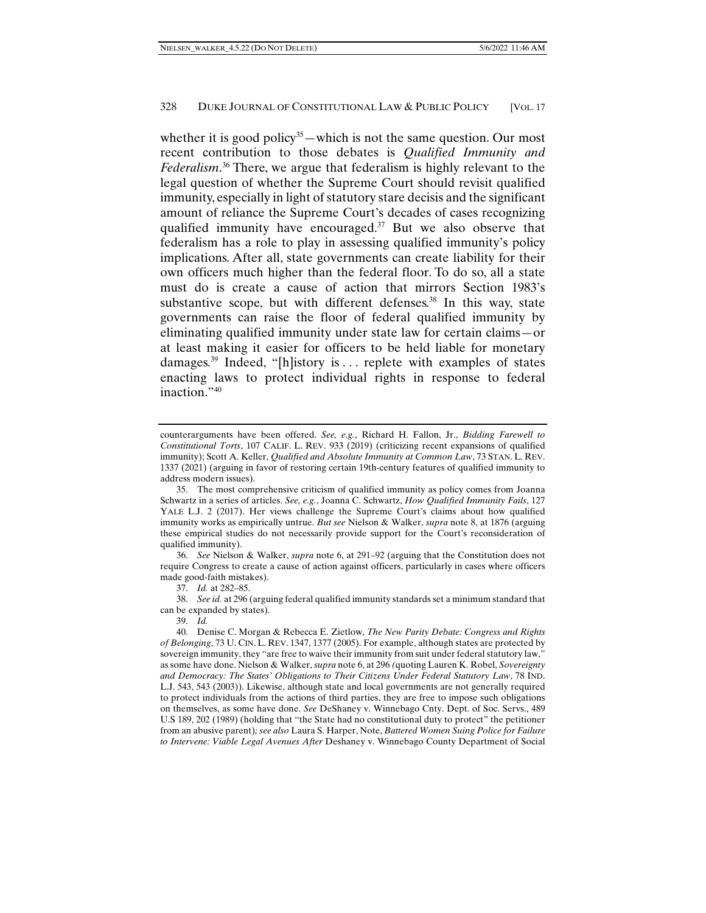whether it is good policy<sup>35</sup>—which is not the same question. Our most recent contribution to those debates is *Qualified Immunity and Federalism*. 36 There, we argue that federalism is highly relevant to the legal question of whether the Supreme Court should revisit qualified immunity, especially in light of statutory stare decisis and the significant amount of reliance the Supreme Court's decades of cases recognizing qualified immunity have encouraged. $37$  But we also observe that federalism has a role to play in assessing qualified immunity's policy implications. After all, state governments can create liability for their own officers much higher than the federal floor. To do so, all a state must do is create a cause of action that mirrors Section 1983's substantive scope, but with different defenses. $38$  In this way, state governments can raise the floor of federal qualified immunity by eliminating qualified immunity under state law for certain claims—or at least making it easier for officers to be held liable for monetary damages.39 Indeed, "[h]istory is . . . replete with examples of states enacting laws to protect individual rights in response to federal inaction."40

 36. *See* Nielson & Walker, *supra* note 6, at 291–92 (arguing that the Constitution does not require Congress to create a cause of action against officers, particularly in cases where officers made good-faith mistakes).

counterarguments have been offered. *See, e.g.*, Richard H. Fallon, Jr., *Bidding Farewell to Constitutional Torts*, 107 CALIF. L. REV. 933 (2019) (criticizing recent expansions of qualified immunity); Scott A. Keller, *Qualified and Absolute Immunity at Common Law*, 73 STAN. L. REV. 1337 (2021) (arguing in favor of restoring certain 19th-century features of qualified immunity to address modern issues).

 <sup>35.</sup> The most comprehensive criticism of qualified immunity as policy comes from Joanna Schwartz in a series of articles. *See, e.g.*, Joanna C. Schwartz, *How Qualified Immunity Fails*, 127 YALE L.J. 2 (2017). Her views challenge the Supreme Court's claims about how qualified immunity works as empirically untrue. *But see* Nielson & Walker, *supra* note 8, at 1876 (arguing these empirical studies do not necessarily provide support for the Court's reconsideration of qualified immunity).

 <sup>37.</sup> *Id.* at 282–85.

 <sup>38.</sup> *See id.* at 296 (arguing federal qualified immunity standards set a minimum standard that can be expanded by states).

 <sup>39.</sup> *Id.*

 <sup>40.</sup> Denise C. Morgan & Rebecca E. Zietlow, *The New Parity Debate: Congress and Rights of Belonging*, 73 U. CIN. L. REV. 1347, 1377 (2005). For example, although states are protected by sovereign immunity, they "are free to waive their immunity from suit under federal statutory law," as some have done. Nielson & Walker, *supra* note 6, at 296 *(*quoting Lauren K. Robel, *Sovereignty and Democracy: The States' Obligations to Their Citizens Under Federal Statutory Law*, 78 IND. L.J. 543, 543 (2003)). Likewise, although state and local governments are not generally required to protect individuals from the actions of third parties, they are free to impose such obligations on themselves, as some have done. *See* DeShaney v. Winnebago Cnty. Dept. of Soc. Servs., 489 U.S 189, 202 (1989) (holding that "the State had no constitutional duty to protect" the petitioner from an abusive parent)*; see also* Laura S. Harper, Note, *Battered Women Suing Police for Failure to Intervene: Viable Legal Avenues After* Deshaney v. Winnebago County Department of Social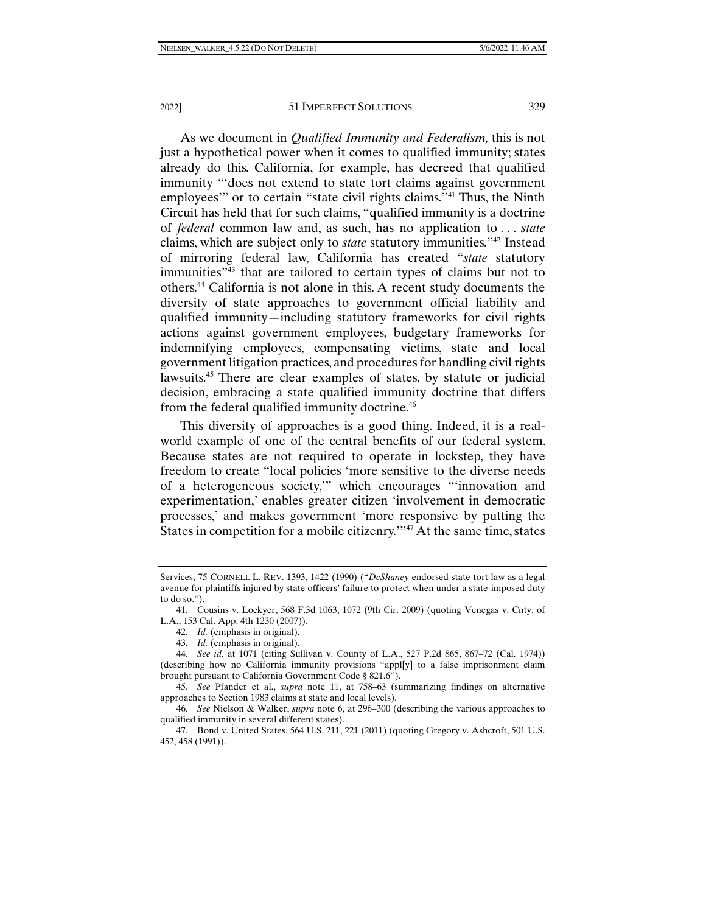As we document in *Qualified Immunity and Federalism,* this is not just a hypothetical power when it comes to qualified immunity; states already do this. California, for example, has decreed that qualified immunity "'does not extend to state tort claims against government employees'" or to certain "state civil rights claims."41 Thus, the Ninth Circuit has held that for such claims, "qualified immunity is a doctrine of *federal* common law and, as such, has no application to . . . *state* claims, which are subject only to *state* statutory immunities."42 Instead of mirroring federal law, California has created "*state* statutory immunities"43 that are tailored to certain types of claims but not to others.44 California is not alone in this. A recent study documents the diversity of state approaches to government official liability and qualified immunity—including statutory frameworks for civil rights actions against government employees, budgetary frameworks for indemnifying employees, compensating victims, state and local government litigation practices, and procedures for handling civil rights lawsuits.45 There are clear examples of states, by statute or judicial decision, embracing a state qualified immunity doctrine that differs from the federal qualified immunity doctrine.<sup>46</sup>

This diversity of approaches is a good thing. Indeed, it is a realworld example of one of the central benefits of our federal system. Because states are not required to operate in lockstep, they have freedom to create "local policies 'more sensitive to the diverse needs of a heterogeneous society,'" which encourages "'innovation and experimentation,' enables greater citizen 'involvement in democratic processes,' and makes government 'more responsive by putting the States in competition for a mobile citizenry.'"47 At the same time, states

Services, 75 CORNELL L. REV. 1393, 1422 (1990) ("*DeShaney* endorsed state tort law as a legal avenue for plaintiffs injured by state officers' failure to protect when under a state-imposed duty to do so.").

 <sup>41.</sup> Cousins v. Lockyer, 568 F.3d 1063, 1072 (9th Cir. 2009) (quoting Venegas v. Cnty. of L.A., 153 Cal. App. 4th 1230 (2007)).

 <sup>42.</sup> *Id.* (emphasis in original).

 <sup>43.</sup> *Id.* (emphasis in original).

 <sup>44.</sup> *See id.* at 1071 (citing Sullivan v. County of L.A., 527 P.2d 865, 867–72 (Cal. 1974)) (describing how no California immunity provisions "appl[y] to a false imprisonment claim brought pursuant to California Government Code § 821.6").

 <sup>45.</sup> *See* Pfander et al., *supra* note 11, at 758–63 (summarizing findings on alternative approaches to Section 1983 claims at state and local levels).

 <sup>46.</sup> *See* Nielson & Walker, *supra* note 6, at 296–300 (describing the various approaches to qualified immunity in several different states).

 <sup>47.</sup> Bond v. United States, 564 U.S. 211, 221 (2011) (quoting Gregory v. Ashcroft, 501 U.S. 452, 458 (1991)).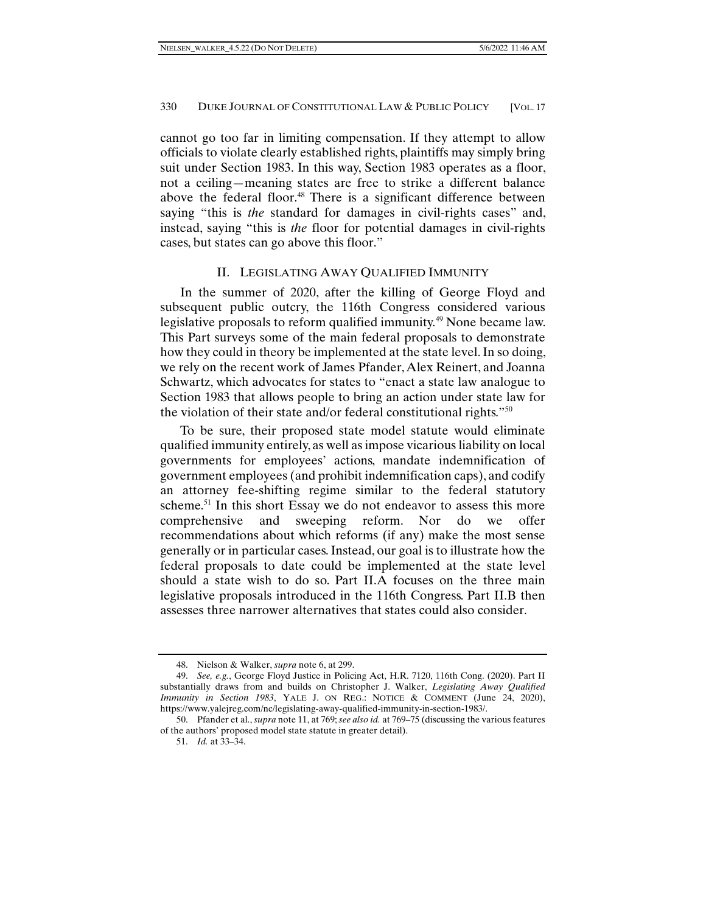cannot go too far in limiting compensation. If they attempt to allow officials to violate clearly established rights, plaintiffs may simply bring suit under Section 1983. In this way, Section 1983 operates as a floor, not a ceiling—meaning states are free to strike a different balance above the federal floor.<sup>48</sup> There is a significant difference between saying "this is *the* standard for damages in civil-rights cases" and, instead, saying "this is *the* floor for potential damages in civil-rights cases, but states can go above this floor."

## II. LEGISLATING AWAY QUALIFIED IMMUNITY

In the summer of 2020, after the killing of George Floyd and subsequent public outcry, the 116th Congress considered various legislative proposals to reform qualified immunity.49 None became law. This Part surveys some of the main federal proposals to demonstrate how they could in theory be implemented at the state level. In so doing, we rely on the recent work of James Pfander, Alex Reinert, and Joanna Schwartz, which advocates for states to "enact a state law analogue to Section 1983 that allows people to bring an action under state law for the violation of their state and/or federal constitutional rights."50

To be sure, their proposed state model statute would eliminate qualified immunity entirely, as well as impose vicarious liability on local governments for employees' actions, mandate indemnification of government employees (and prohibit indemnification caps), and codify an attorney fee-shifting regime similar to the federal statutory scheme.<sup>51</sup> In this short Essay we do not endeavor to assess this more comprehensive and sweeping reform. Nor do we offer recommendations about which reforms (if any) make the most sense generally or in particular cases. Instead, our goal is to illustrate how the federal proposals to date could be implemented at the state level should a state wish to do so. Part II.A focuses on the three main legislative proposals introduced in the 116th Congress. Part II.B then assesses three narrower alternatives that states could also consider.

 <sup>48.</sup> Nielson & Walker, *supra* note 6, at 299.

 <sup>49.</sup> *See, e.g.*, George Floyd Justice in Policing Act, H.R. 7120, 116th Cong. (2020). Part II substantially draws from and builds on Christopher J. Walker, *Legislating Away Qualified Immunity in Section 1983*, YALE J. ON REG.: NOTICE & COMMENT (June 24, 2020), https://www.yalejreg.com/nc/legislating-away-qualified-immunity-in-section-1983/.

 <sup>50.</sup> Pfander et al., *supra* note 11, at 769; *see also id.* at 769–75 (discussing the various features of the authors' proposed model state statute in greater detail).

 <sup>51.</sup> *Id.* at 33–34.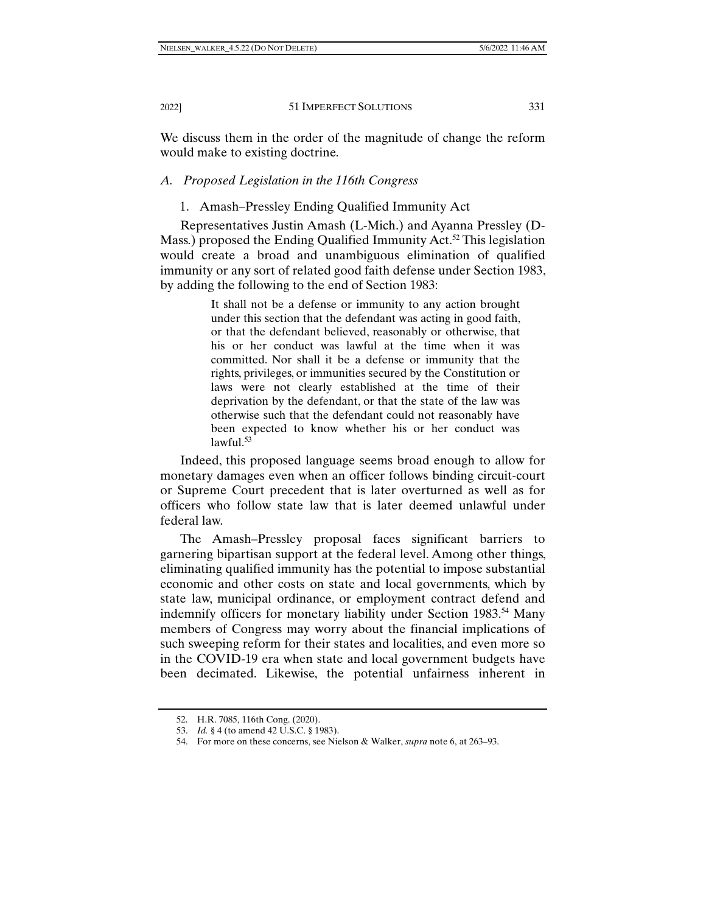We discuss them in the order of the magnitude of change the reform would make to existing doctrine.

# *A. Proposed Legislation in the 116th Congress*

# 1. Amash–Pressley Ending Qualified Immunity Act

Representatives Justin Amash (L-Mich.) and Ayanna Pressley (D-Mass.) proposed the Ending Qualified Immunity Act.<sup>52</sup> This legislation would create a broad and unambiguous elimination of qualified immunity or any sort of related good faith defense under Section 1983, by adding the following to the end of Section 1983:

> It shall not be a defense or immunity to any action brought under this section that the defendant was acting in good faith, or that the defendant believed, reasonably or otherwise, that his or her conduct was lawful at the time when it was committed. Nor shall it be a defense or immunity that the rights, privileges, or immunities secured by the Constitution or laws were not clearly established at the time of their deprivation by the defendant, or that the state of the law was otherwise such that the defendant could not reasonably have been expected to know whether his or her conduct was  $lawful<sup>53</sup>$

Indeed, this proposed language seems broad enough to allow for monetary damages even when an officer follows binding circuit-court or Supreme Court precedent that is later overturned as well as for officers who follow state law that is later deemed unlawful under federal law.

The Amash–Pressley proposal faces significant barriers to garnering bipartisan support at the federal level. Among other things, eliminating qualified immunity has the potential to impose substantial economic and other costs on state and local governments, which by state law, municipal ordinance, or employment contract defend and indemnify officers for monetary liability under Section 1983.<sup>54</sup> Many members of Congress may worry about the financial implications of such sweeping reform for their states and localities, and even more so in the COVID-19 era when state and local government budgets have been decimated. Likewise, the potential unfairness inherent in

 <sup>52.</sup> H.R. 7085, 116th Cong. (2020).

 <sup>53.</sup> *Id.* § 4 (to amend 42 U.S.C. § 1983).

 <sup>54.</sup> For more on these concerns, see Nielson & Walker, *supra* note 6, at 263–93.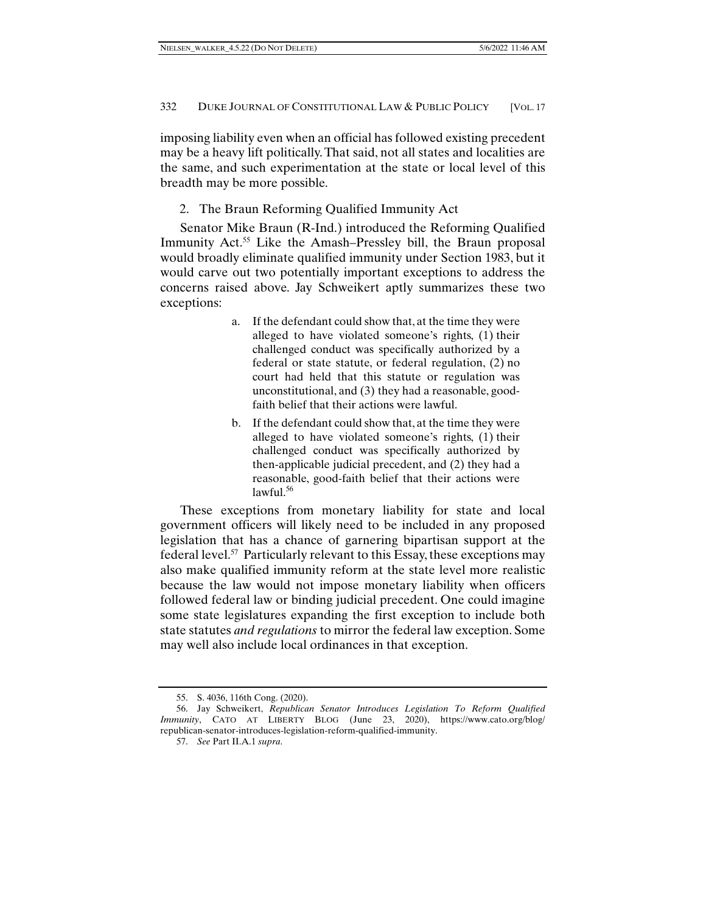imposing liability even when an official has followed existing precedent may be a heavy lift politically. That said, not all states and localities are the same, and such experimentation at the state or local level of this breadth may be more possible.

2. The Braun Reforming Qualified Immunity Act

Senator Mike Braun (R-Ind.) introduced the Reforming Qualified Immunity Act.<sup>55</sup> Like the Amash–Pressley bill, the Braun proposal would broadly eliminate qualified immunity under Section 1983, but it would carve out two potentially important exceptions to address the concerns raised above. Jay Schweikert aptly summarizes these two exceptions:

- a. If the defendant could show that, at the time they were alleged to have violated someone's rights, (1) their challenged conduct was specifically authorized by a federal or state statute, or federal regulation, (2) no court had held that this statute or regulation was unconstitutional, and (3) they had a reasonable, goodfaith belief that their actions were lawful.
- b. If the defendant could show that, at the time they were alleged to have violated someone's rights, (1) their challenged conduct was specifically authorized by then-applicable judicial precedent, and (2) they had a reasonable, good-faith belief that their actions were  $lawful.<sup>56</sup>$

These exceptions from monetary liability for state and local government officers will likely need to be included in any proposed legislation that has a chance of garnering bipartisan support at the federal level.57 Particularly relevant to this Essay, these exceptions may also make qualified immunity reform at the state level more realistic because the law would not impose monetary liability when officers followed federal law or binding judicial precedent. One could imagine some state legislatures expanding the first exception to include both state statutes *and regulations* to mirror the federal law exception. Some may well also include local ordinances in that exception.

 <sup>55.</sup> S. 4036, 116th Cong. (2020).

 <sup>56.</sup> Jay Schweikert, *Republican Senator Introduces Legislation To Reform Qualified Immunity*, CATO AT LIBERTY BLOG (June 23, 2020), https://www.cato.org/blog/ republican-senator-introduces-legislation-reform-qualified-immunity.

 <sup>57.</sup> *See* Part II.A.1 *supra*.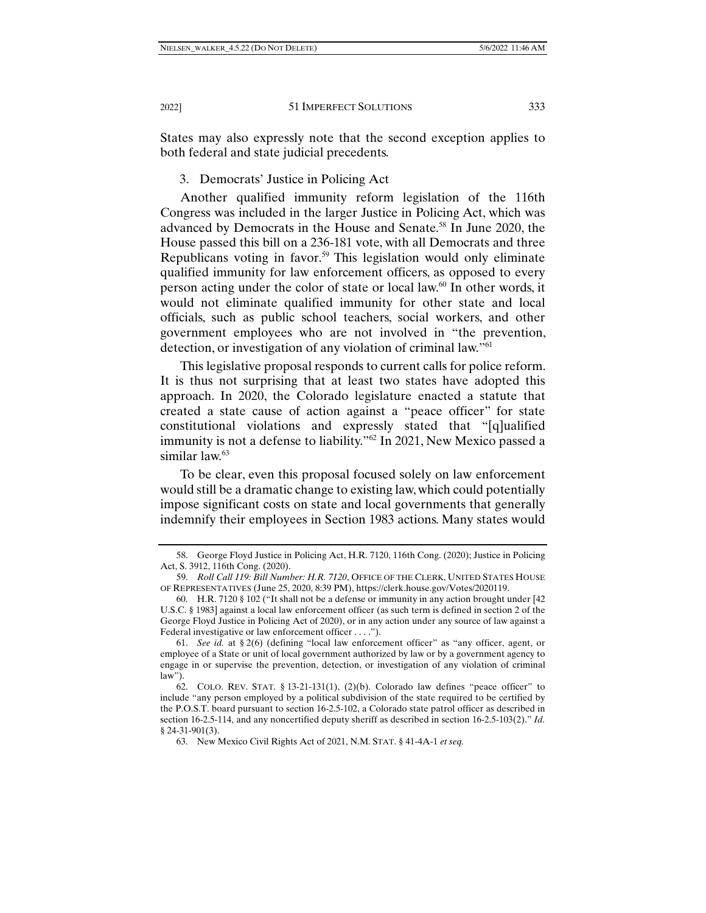States may also expressly note that the second exception applies to both federal and state judicial precedents.

#### 3. Democrats' Justice in Policing Act

Another qualified immunity reform legislation of the 116th Congress was included in the larger Justice in Policing Act, which was advanced by Democrats in the House and Senate.58 In June 2020, the House passed this bill on a 236-181 vote, with all Democrats and three Republicans voting in favor.<sup>59</sup> This legislation would only eliminate qualified immunity for law enforcement officers, as opposed to every person acting under the color of state or local law.60 In other words, it would not eliminate qualified immunity for other state and local officials, such as public school teachers, social workers, and other government employees who are not involved in "the prevention, detection, or investigation of any violation of criminal law."61

This legislative proposal responds to current calls for police reform. It is thus not surprising that at least two states have adopted this approach. In 2020, the Colorado legislature enacted a statute that created a state cause of action against a "peace officer" for state constitutional violations and expressly stated that "[q]ualified immunity is not a defense to liability."62 In 2021, New Mexico passed a similar law.63

To be clear, even this proposal focused solely on law enforcement would still be a dramatic change to existing law, which could potentially impose significant costs on state and local governments that generally indemnify their employees in Section 1983 actions. Many states would

 <sup>58.</sup> George Floyd Justice in Policing Act, H.R. 7120, 116th Cong. (2020); Justice in Policing Act, S. 3912, 116th Cong. (2020).

 <sup>59.</sup> *Roll Call 119: Bill Number: H.R. 7120*, OFFICE OF THE CLERK, UNITED STATES HOUSE OF REPRESENTATIVES (June 25, 2020, 8:39 PM), https://clerk.house.gov/Votes/2020119.

 <sup>60.</sup> H.R. 7120 § 102 ("It shall not be a defense or immunity in any action brought under [42 U.S.C. § 1983] against a local law enforcement officer (as such term is defined in section 2 of the George Floyd Justice in Policing Act of 2020), or in any action under any source of law against a Federal investigative or law enforcement officer . . . .").

 <sup>61.</sup> *See id.* at § 2(6) (defining "local law enforcement officer" as "any officer, agent, or employee of a State or unit of local government authorized by law or by a government agency to engage in or supervise the prevention, detection, or investigation of any violation of criminal law").

 <sup>62.</sup> COLO. REV. STAT. § 13-21-131(1), (2)(b). Colorado law defines "peace officer" to include "any person employed by a political subdivision of the state required to be certified by the P.O.S.T. board pursuant to section 16-2.5-102, a Colorado state patrol officer as described in section 16-2.5-114, and any noncertified deputy sheriff as described in section 16-2.5-103(2)." *Id.* § 24-31-901(3).

 <sup>63.</sup> New Mexico Civil Rights Act of 2021, N.M. STAT. § 41-4A-1 *et seq.*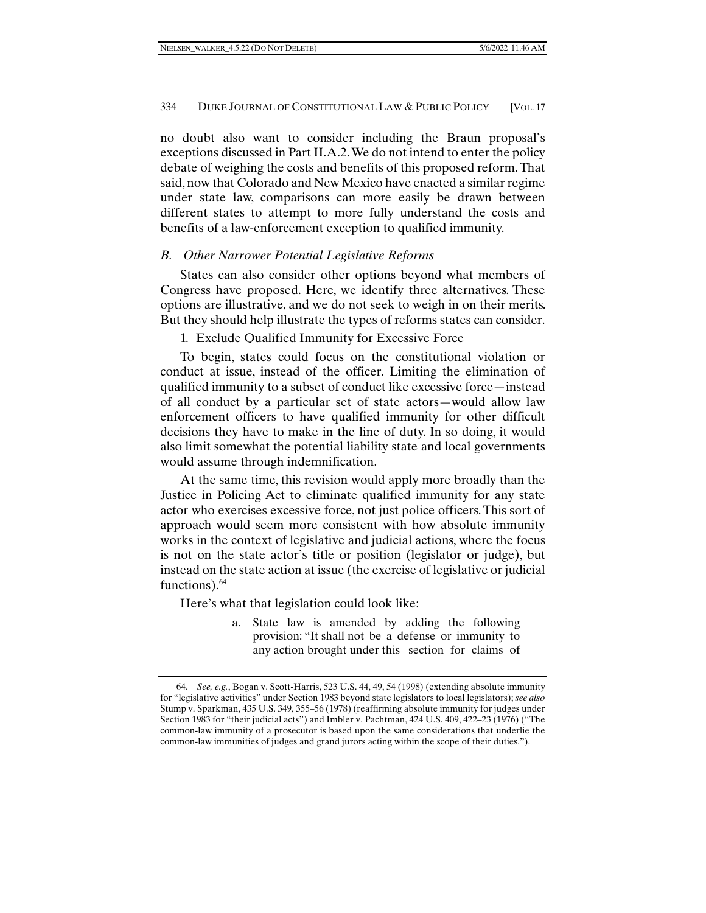no doubt also want to consider including the Braun proposal's exceptions discussed in Part II.A.2. We do not intend to enter the policy debate of weighing the costs and benefits of this proposed reform. That said, now that Colorado and New Mexico have enacted a similar regime under state law, comparisons can more easily be drawn between different states to attempt to more fully understand the costs and benefits of a law-enforcement exception to qualified immunity.

## *B. Other Narrower Potential Legislative Reforms*

States can also consider other options beyond what members of Congress have proposed. Here, we identify three alternatives. These options are illustrative, and we do not seek to weigh in on their merits. But they should help illustrate the types of reforms states can consider.

1. Exclude Qualified Immunity for Excessive Force

To begin, states could focus on the constitutional violation or conduct at issue, instead of the officer. Limiting the elimination of qualified immunity to a subset of conduct like excessive force—instead of all conduct by a particular set of state actors—would allow law enforcement officers to have qualified immunity for other difficult decisions they have to make in the line of duty. In so doing, it would also limit somewhat the potential liability state and local governments would assume through indemnification.

At the same time, this revision would apply more broadly than the Justice in Policing Act to eliminate qualified immunity for any state actor who exercises excessive force, not just police officers. This sort of approach would seem more consistent with how absolute immunity works in the context of legislative and judicial actions, where the focus is not on the state actor's title or position (legislator or judge), but instead on the state action at issue (the exercise of legislative or judicial functions). $64$ 

Here's what that legislation could look like:

a. State law is amended by adding the following provision: "It shall not be a defense or immunity to any action brought under this section for claims of

 <sup>64.</sup> *See, e.g.*, Bogan v. Scott-Harris, 523 U.S. 44, 49, 54 (1998) (extending absolute immunity for "legislative activities" under Section 1983 beyond state legislators to local legislators); *see also* Stump v. Sparkman, 435 U.S. 349, 355–56 (1978) (reaffirming absolute immunity for judges under Section 1983 for "their judicial acts") and Imbler v. Pachtman, 424 U.S. 409, 422–23 (1976) ("The common-law immunity of a prosecutor is based upon the same considerations that underlie the common-law immunities of judges and grand jurors acting within the scope of their duties.").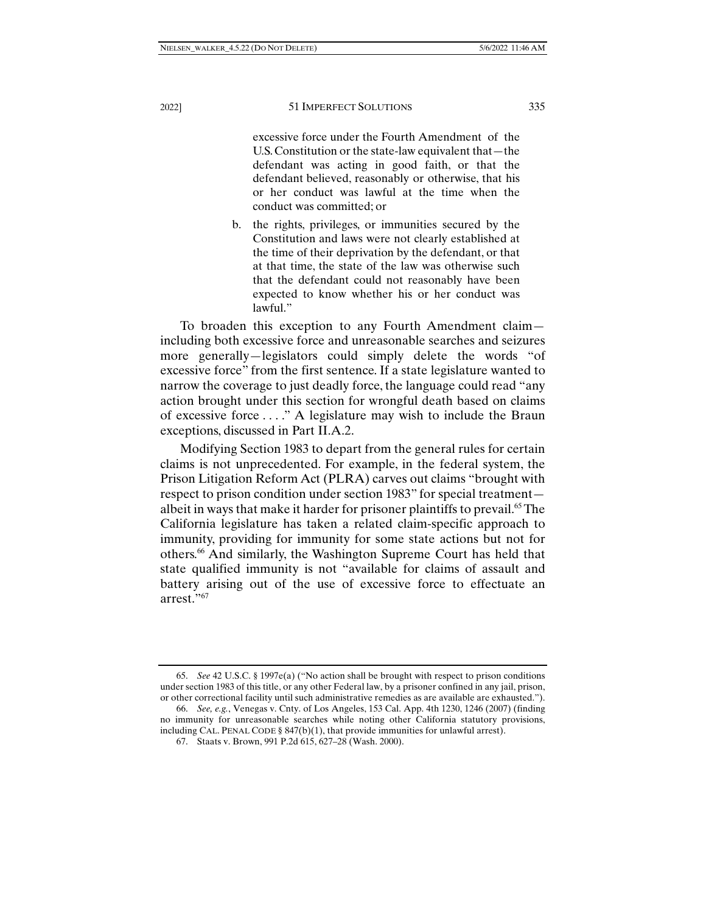excessive force under the Fourth Amendment of the U.S. Constitution or the state-law equivalent that—the defendant was acting in good faith, or that the defendant believed, reasonably or otherwise, that his or her conduct was lawful at the time when the conduct was committed; or

b. the rights, privileges, or immunities secured by the Constitution and laws were not clearly established at the time of their deprivation by the defendant, or that at that time, the state of the law was otherwise such that the defendant could not reasonably have been expected to know whether his or her conduct was lawful."

To broaden this exception to any Fourth Amendment claim including both excessive force and unreasonable searches and seizures more generally—legislators could simply delete the words "of excessive force" from the first sentence. If a state legislature wanted to narrow the coverage to just deadly force, the language could read "any action brought under this section for wrongful death based on claims of excessive force . . . ." A legislature may wish to include the Braun exceptions, discussed in Part II.A.2.

Modifying Section 1983 to depart from the general rules for certain claims is not unprecedented. For example, in the federal system, the Prison Litigation Reform Act (PLRA) carves out claims "brought with respect to prison condition under section 1983" for special treatment albeit in ways that make it harder for prisoner plaintiffs to prevail.<sup>65</sup> The California legislature has taken a related claim-specific approach to immunity, providing for immunity for some state actions but not for others.66 And similarly, the Washington Supreme Court has held that state qualified immunity is not "available for claims of assault and battery arising out of the use of excessive force to effectuate an arrest."67

 <sup>65.</sup> *See* 42 U.S.C. § 1997e(a) ("No action shall be brought with respect to prison conditions under section 1983 of this title, or any other Federal law, by a prisoner confined in any jail, prison, or other correctional facility until such administrative remedies as are available are exhausted.").

 <sup>66.</sup> *See, e.g.*, Venegas v. Cnty. of Los Angeles, 153 Cal. App. 4th 1230, 1246 (2007) (finding no immunity for unreasonable searches while noting other California statutory provisions, including CAL. PENAL CODE § 847(b)(1), that provide immunities for unlawful arrest).

 <sup>67.</sup> Staats v. Brown, 991 P.2d 615, 627–28 (Wash. 2000).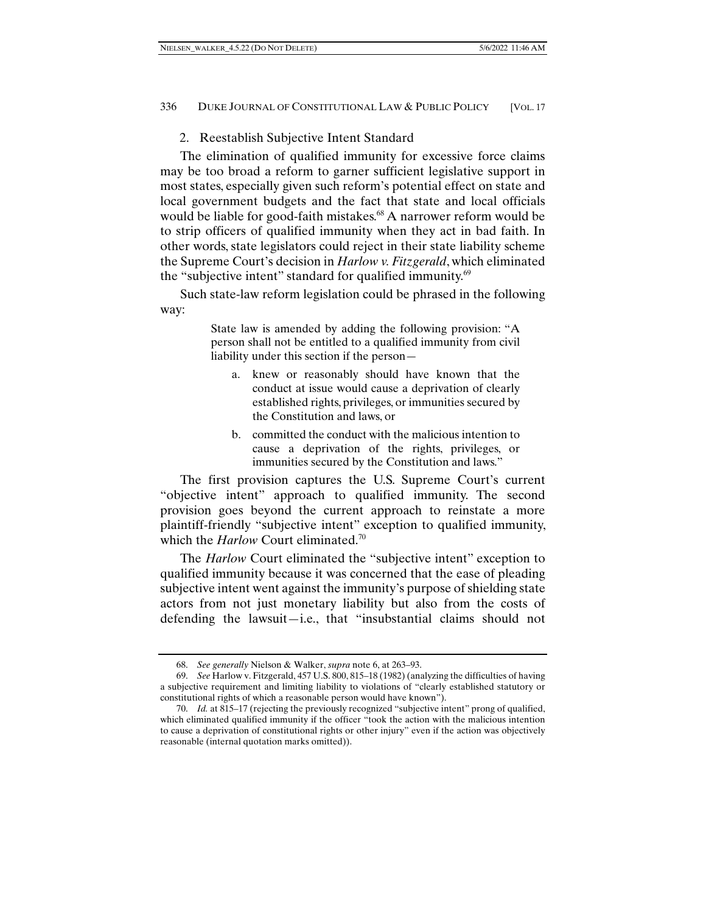# 2. Reestablish Subjective Intent Standard

The elimination of qualified immunity for excessive force claims may be too broad a reform to garner sufficient legislative support in most states, especially given such reform's potential effect on state and local government budgets and the fact that state and local officials would be liable for good-faith mistakes.<sup>68</sup> A narrower reform would be to strip officers of qualified immunity when they act in bad faith. In other words, state legislators could reject in their state liability scheme the Supreme Court's decision in *Harlow v. Fitzgerald*, which eliminated the "subjective intent" standard for qualified immunity.<sup>69</sup>

Such state-law reform legislation could be phrased in the following way:

> State law is amended by adding the following provision: "A person shall not be entitled to a qualified immunity from civil liability under this section if the person—

- a. knew or reasonably should have known that the conduct at issue would cause a deprivation of clearly established rights, privileges, or immunities secured by the Constitution and laws, or
- b. committed the conduct with the malicious intention to cause a deprivation of the rights, privileges, or immunities secured by the Constitution and laws."

The first provision captures the U.S. Supreme Court's current "objective intent" approach to qualified immunity. The second provision goes beyond the current approach to reinstate a more plaintiff-friendly "subjective intent" exception to qualified immunity, which the *Harlow* Court eliminated.<sup>70</sup>

The *Harlow* Court eliminated the "subjective intent" exception to qualified immunity because it was concerned that the ease of pleading subjective intent went against the immunity's purpose of shielding state actors from not just monetary liability but also from the costs of defending the lawsuit—i.e., that "insubstantial claims should not

 <sup>68.</sup> *See generally* Nielson & Walker, *supra* note 6, at 263–93.

 <sup>69.</sup> *See* Harlow v. Fitzgerald, 457 U.S. 800, 815–18 (1982) (analyzing the difficulties of having a subjective requirement and limiting liability to violations of "clearly established statutory or constitutional rights of which a reasonable person would have known").

 <sup>70.</sup> *Id.* at 815–17 (rejecting the previously recognized "subjective intent" prong of qualified, which eliminated qualified immunity if the officer "took the action with the malicious intention to cause a deprivation of constitutional rights or other injury" even if the action was objectively reasonable (internal quotation marks omitted)).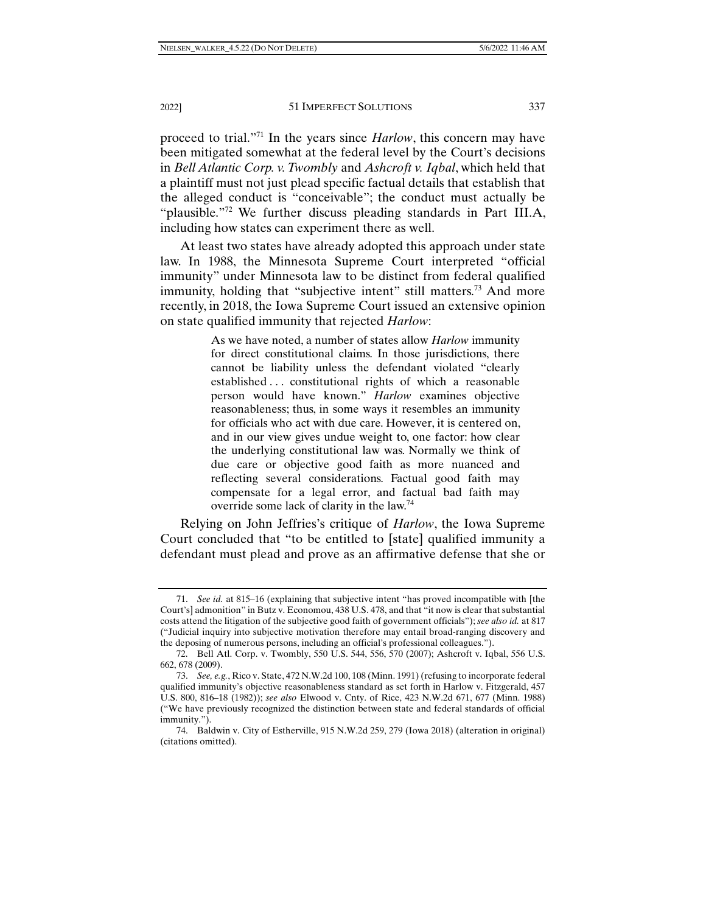proceed to trial."71 In the years since *Harlow*, this concern may have been mitigated somewhat at the federal level by the Court's decisions in *Bell Atlantic Corp. v. Twombly* and *Ashcroft v. Iqbal*, which held that a plaintiff must not just plead specific factual details that establish that the alleged conduct is "conceivable"; the conduct must actually be "plausible."72 We further discuss pleading standards in Part III.A, including how states can experiment there as well.

At least two states have already adopted this approach under state law. In 1988, the Minnesota Supreme Court interpreted "official immunity" under Minnesota law to be distinct from federal qualified immunity, holding that "subjective intent" still matters.<sup>73</sup> And more recently, in 2018, the Iowa Supreme Court issued an extensive opinion on state qualified immunity that rejected *Harlow*:

> As we have noted, a number of states allow *Harlow* immunity for direct constitutional claims. In those jurisdictions, there cannot be liability unless the defendant violated "clearly established . . . constitutional rights of which a reasonable person would have known." *Harlow* examines objective reasonableness; thus, in some ways it resembles an immunity for officials who act with due care. However, it is centered on, and in our view gives undue weight to, one factor: how clear the underlying constitutional law was. Normally we think of due care or objective good faith as more nuanced and reflecting several considerations. Factual good faith may compensate for a legal error, and factual bad faith may override some lack of clarity in the law.74

Relying on John Jeffries's critique of *Harlow*, the Iowa Supreme Court concluded that "to be entitled to [state] qualified immunity a defendant must plead and prove as an affirmative defense that she or

 <sup>71.</sup> *See id.* at 815–16 (explaining that subjective intent "has proved incompatible with [the Court's] admonition" in Butz v. Economou, 438 U.S. 478, and that "it now is clear that substantial costs attend the litigation of the subjective good faith of government officials"); *see also id.* at 817 ("Judicial inquiry into subjective motivation therefore may entail broad-ranging discovery and the deposing of numerous persons, including an official's professional colleagues.").

 <sup>72.</sup> Bell Atl. Corp. v. Twombly, 550 U.S. 544, 556, 570 (2007); Ashcroft v. Iqbal, 556 U.S. 662, 678 (2009).

 <sup>73.</sup> *See, e.g.*, Rico v. State, 472 N.W.2d 100, 108 (Minn. 1991) (refusing to incorporate federal qualified immunity's objective reasonableness standard as set forth in Harlow v. Fitzgerald, 457 U.S. 800, 816–18 (1982)); *see also* Elwood v. Cnty. of Rice, 423 N.W.2d 671, 677 (Minn. 1988) ("We have previously recognized the distinction between state and federal standards of official immunity.").

 <sup>74.</sup> Baldwin v. City of Estherville, 915 N.W.2d 259, 279 (Iowa 2018) (alteration in original) (citations omitted).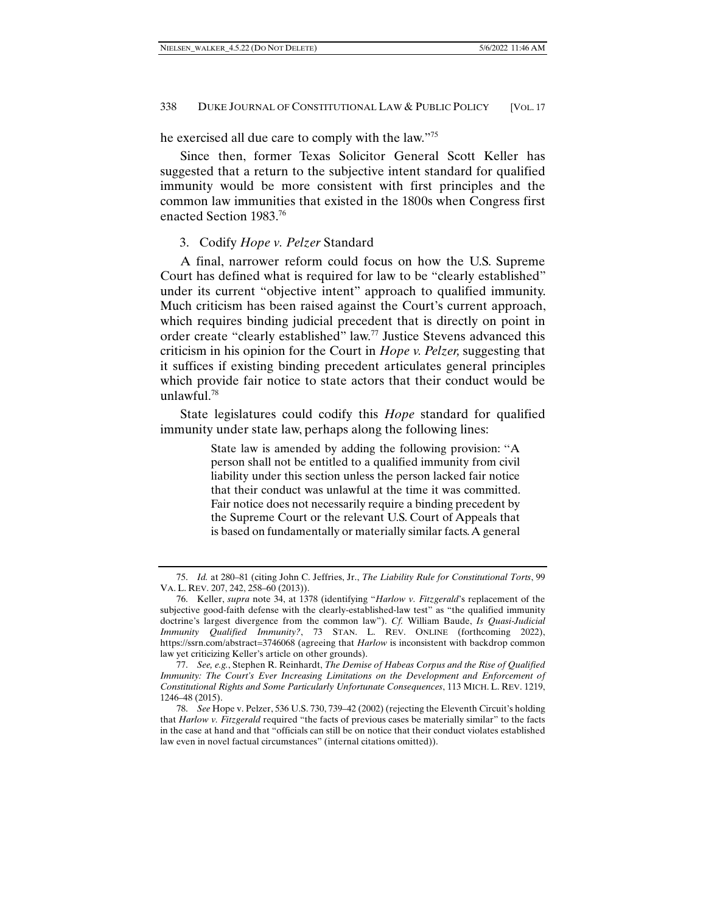he exercised all due care to comply with the law."75

Since then, former Texas Solicitor General Scott Keller has suggested that a return to the subjective intent standard for qualified immunity would be more consistent with first principles and the common law immunities that existed in the 1800s when Congress first enacted Section 1983.76

#### 3. Codify *Hope v. Pelzer* Standard

A final, narrower reform could focus on how the U.S. Supreme Court has defined what is required for law to be "clearly established" under its current "objective intent" approach to qualified immunity. Much criticism has been raised against the Court's current approach, which requires binding judicial precedent that is directly on point in order create "clearly established" law.77 Justice Stevens advanced this criticism in his opinion for the Court in *Hope v. Pelzer,* suggesting that it suffices if existing binding precedent articulates general principles which provide fair notice to state actors that their conduct would be unlawful.78

State legislatures could codify this *Hope* standard for qualified immunity under state law, perhaps along the following lines:

> State law is amended by adding the following provision: ''A person shall not be entitled to a qualified immunity from civil liability under this section unless the person lacked fair notice that their conduct was unlawful at the time it was committed. Fair notice does not necessarily require a binding precedent by the Supreme Court or the relevant U.S. Court of Appeals that is based on fundamentally or materially similar facts. A general

 <sup>75.</sup> *Id.* at 280–81 (citing John C. Jeffries, Jr., *The Liability Rule for Constitutional Torts*, 99 VA. L. REV. 207, 242, 258–60 (2013)).

 <sup>76.</sup> Keller, *supra* note 34, at 1378 (identifying "*Harlow v. Fitzgerald*'s replacement of the subjective good-faith defense with the clearly-established-law test" as "the qualified immunity doctrine's largest divergence from the common law"). *Cf.* William Baude, *Is Quasi-Judicial Immunity Qualified Immunity?*, 73 STAN. L. REV. ONLINE (forthcoming 2022), https://ssrn.com/abstract=3746068 (agreeing that *Harlow* is inconsistent with backdrop common law yet criticizing Keller's article on other grounds).

 <sup>77.</sup> *See, e.g.*, Stephen R. Reinhardt, *The Demise of Habeas Corpus and the Rise of Qualified Immunity: The Court's Ever Increasing Limitations on the Development and Enforcement of Constitutional Rights and Some Particularly Unfortunate Consequences*, 113 MICH. L. REV. 1219, 1246–48 (2015).

 <sup>78.</sup> *See* Hope v. Pelzer, 536 U.S. 730, 739–42 (2002) (rejecting the Eleventh Circuit's holding that *Harlow v. Fitzgerald* required "the facts of previous cases be materially similar" to the facts in the case at hand and that "officials can still be on notice that their conduct violates established law even in novel factual circumstances" (internal citations omitted)).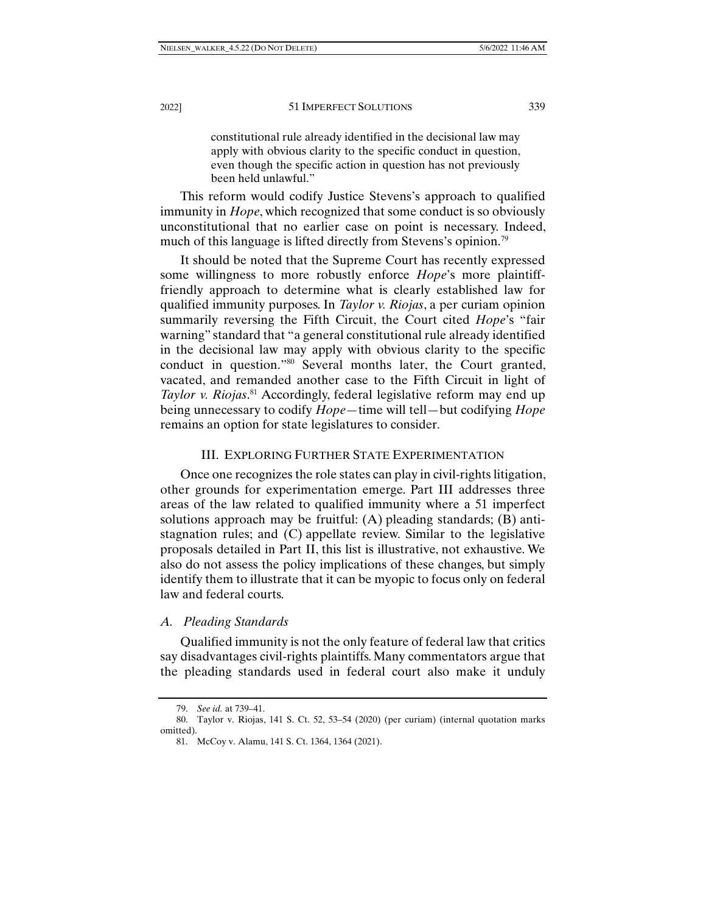constitutional rule already identified in the decisional law may apply with obvious clarity to the specific conduct in question, even though the specific action in question has not previously been held unlawful."

This reform would codify Justice Stevens's approach to qualified immunity in *Hope*, which recognized that some conduct is so obviously unconstitutional that no earlier case on point is necessary. Indeed, much of this language is lifted directly from Stevens's opinion.<sup>79</sup>

It should be noted that the Supreme Court has recently expressed some willingness to more robustly enforce *Hope*'s more plaintifffriendly approach to determine what is clearly established law for qualified immunity purposes. In *Taylor v. Riojas*, a per curiam opinion summarily reversing the Fifth Circuit, the Court cited *Hope*'s "fair warning" standard that "a general constitutional rule already identified in the decisional law may apply with obvious clarity to the specific conduct in question."80 Several months later, the Court granted, vacated, and remanded another case to the Fifth Circuit in light of *Taylor v. Riojas*. 81 Accordingly, federal legislative reform may end up being unnecessary to codify *Hope*—time will tell—but codifying *Hope* remains an option for state legislatures to consider.

#### III. EXPLORING FURTHER STATE EXPERIMENTATION

Once one recognizes the role states can play in civil-rights litigation, other grounds for experimentation emerge. Part III addresses three areas of the law related to qualified immunity where a 51 imperfect solutions approach may be fruitful: (A) pleading standards; (B) antistagnation rules; and (C) appellate review. Similar to the legislative proposals detailed in Part II, this list is illustrative, not exhaustive. We also do not assess the policy implications of these changes, but simply identify them to illustrate that it can be myopic to focus only on federal law and federal courts.

#### *A. Pleading Standards*

Qualified immunity is not the only feature of federal law that critics say disadvantages civil-rights plaintiffs. Many commentators argue that the pleading standards used in federal court also make it unduly

 <sup>79.</sup> *See id.* at 739–41.

 <sup>80.</sup> Taylor v. Riojas, 141 S. Ct. 52, 53–54 (2020) (per curiam) (internal quotation marks omitted).

 <sup>81.</sup> McCoy v. Alamu, 141 S. Ct. 1364, 1364 (2021).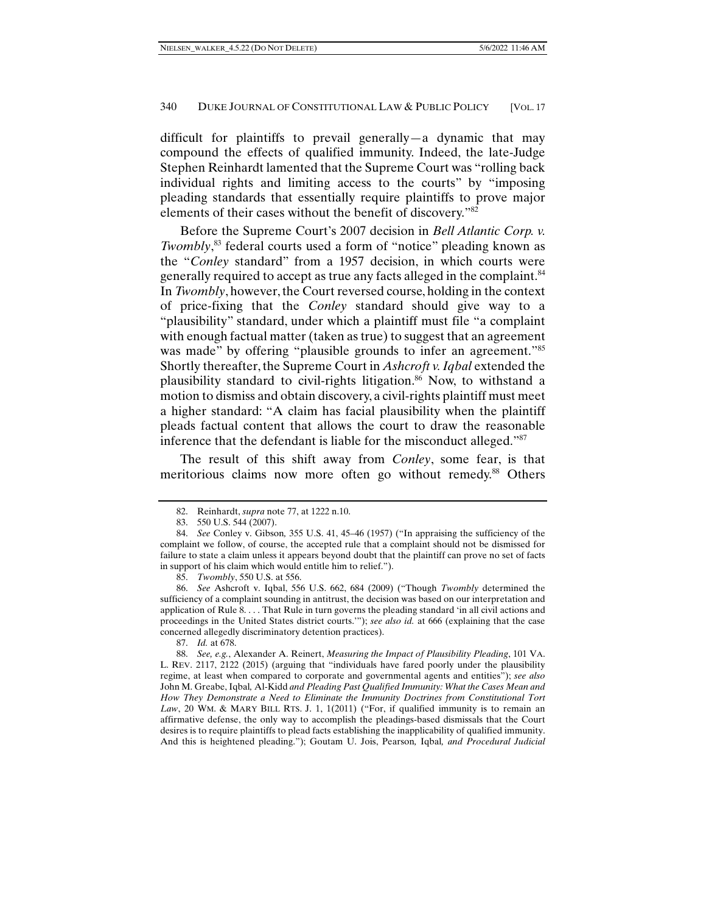difficult for plaintiffs to prevail generally—a dynamic that may compound the effects of qualified immunity. Indeed, the late-Judge Stephen Reinhardt lamented that the Supreme Court was "rolling back individual rights and limiting access to the courts" by "imposing pleading standards that essentially require plaintiffs to prove major elements of their cases without the benefit of discovery."82

Before the Supreme Court's 2007 decision in *Bell Atlantic Corp. v. Twombly*, 83 federal courts used a form of "notice" pleading known as the "*Conley* standard" from a 1957 decision, in which courts were generally required to accept as true any facts alleged in the complaint.<sup>84</sup> In *Twombly*, however, the Court reversed course, holding in the context of price-fixing that the *Conley* standard should give way to a "plausibility" standard, under which a plaintiff must file "a complaint with enough factual matter (taken as true) to suggest that an agreement was made" by offering "plausible grounds to infer an agreement."<sup>85</sup> Shortly thereafter, the Supreme Court in *Ashcroft v. Iqbal* extended the plausibility standard to civil-rights litigation.<sup>86</sup> Now, to withstand a motion to dismiss and obtain discovery, a civil-rights plaintiff must meet a higher standard: "A claim has facial plausibility when the plaintiff pleads factual content that allows the court to draw the reasonable inference that the defendant is liable for the misconduct alleged."<sup>87</sup>

The result of this shift away from *Conley*, some fear, is that meritorious claims now more often go without remedy.<sup>88</sup> Others

 <sup>82.</sup> Reinhardt, *supra* note 77, at 1222 n.10.

 <sup>83. 550</sup> U.S. 544 (2007).

 <sup>84.</sup> *See* Conley v. Gibson*,* 355 U.S. 41, 45–46 (1957) ("In appraising the sufficiency of the complaint we follow, of course, the accepted rule that a complaint should not be dismissed for failure to state a claim unless it appears beyond doubt that the plaintiff can prove no set of facts in support of his claim which would entitle him to relief.").

 <sup>85.</sup> *Twombly*, 550 U.S. at 556.

 <sup>86.</sup> *See* Ashcroft v. Iqbal, 556 U.S. 662, 684 (2009) ("Though *Twombly* determined the sufficiency of a complaint sounding in antitrust, the decision was based on our interpretation and application of Rule 8. . . . That Rule in turn governs the pleading standard 'in all civil actions and proceedings in the United States district courts.'"); *see also id.* at 666 (explaining that the case concerned allegedly discriminatory detention practices).

 <sup>87.</sup> *Id.* at 678.

 <sup>88.</sup> *See, e.g.*, Alexander A. Reinert, *Measuring the Impact of Plausibility Pleading*, 101 VA. L. REV. 2117, 2122 (2015) (arguing that "individuals have fared poorly under the plausibility regime, at least when compared to corporate and governmental agents and entities"); *see also*  John M. Greabe, Iqbal*,* Al-Kidd *and Pleading Past Qualified Immunity: What the Cases Mean and How They Demonstrate a Need to Eliminate the Immunity Doctrines from Constitutional Tort*  Law, 20 WM. & MARY BILL RTS. J. 1, 1(2011) ("For, if qualified immunity is to remain an affirmative defense, the only way to accomplish the pleadings-based dismissals that the Court desires is to require plaintiffs to plead facts establishing the inapplicability of qualified immunity. And this is heightened pleading."); Goutam U. Jois, Pearson*,* Iqbal*, and Procedural Judicial*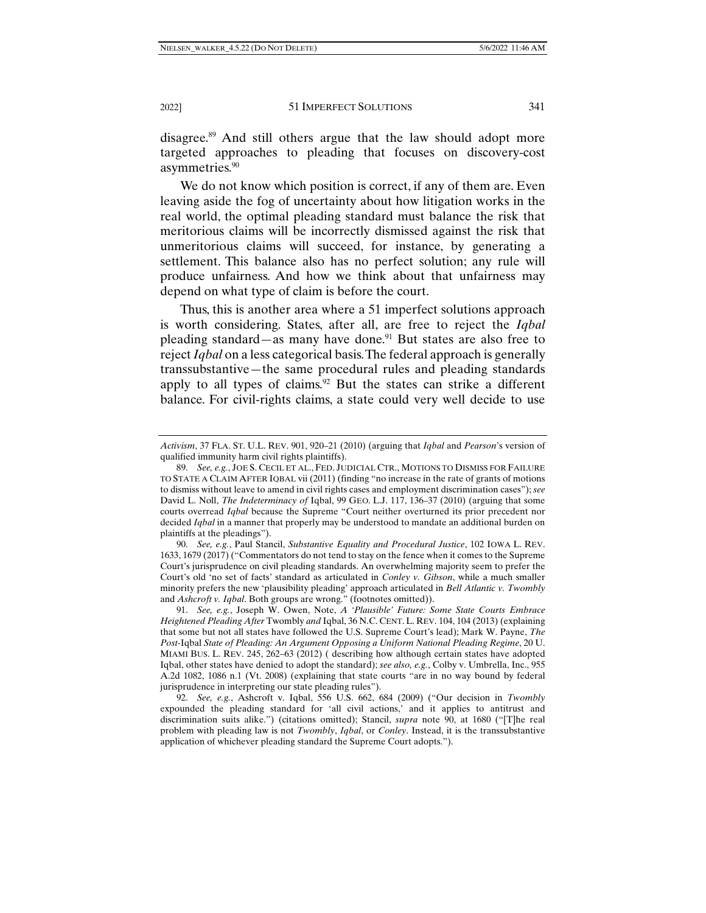disagree.89 And still others argue that the law should adopt more targeted approaches to pleading that focuses on discovery-cost asymmetries.<sup>90</sup>

We do not know which position is correct, if any of them are. Even leaving aside the fog of uncertainty about how litigation works in the real world, the optimal pleading standard must balance the risk that meritorious claims will be incorrectly dismissed against the risk that unmeritorious claims will succeed, for instance, by generating a settlement. This balance also has no perfect solution; any rule will produce unfairness. And how we think about that unfairness may depend on what type of claim is before the court.

Thus, this is another area where a 51 imperfect solutions approach is worth considering. States, after all, are free to reject the *Iqbal* pleading standard—as many have done.<sup>91</sup> But states are also free to reject *Iqbal* on a less categorical basis. The federal approach is generally transsubstantive—the same procedural rules and pleading standards apply to all types of claims. $92$  But the states can strike a different balance. For civil-rights claims, a state could very well decide to use

*Activism*, 37 FLA. ST. U.L. REV. 901, 920–21 (2010) (arguing that *Iqbal* and *Pearson*'s version of qualified immunity harm civil rights plaintiffs).

 <sup>89.</sup> *See, e.g.*, JOE S. CECIL ET AL., FED. JUDICIAL CTR., MOTIONS TO DISMISS FOR FAILURE TO STATE A CLAIM AFTER IQBAL vii (2011) (finding "no increase in the rate of grants of motions to dismiss without leave to amend in civil rights cases and employment discrimination cases"); *see*  David L. Noll, *The Indeterminacy of* Iqbal, 99 GEO. L.J. 117, 136–37 (2010) (arguing that some courts overread *Iqbal* because the Supreme "Court neither overturned its prior precedent nor decided *Iqbal* in a manner that properly may be understood to mandate an additional burden on plaintiffs at the pleadings").

 <sup>90.</sup> *See, e.g.*, Paul Stancil, *Substantive Equality and Procedural Justice*, 102 IOWA L. REV. 1633, 1679 (2017) ("Commentators do not tend to stay on the fence when it comes to the Supreme Court's jurisprudence on civil pleading standards. An overwhelming majority seem to prefer the Court's old 'no set of facts' standard as articulated in *Conley v. Gibson*, while a much smaller minority prefers the new 'plausibility pleading' approach articulated in *Bell Atlantic v. Twombly* and *Ashcroft v. Iqbal*. Both groups are wrong." (footnotes omitted)).

 <sup>91.</sup> *See, e.g.*, Joseph W. Owen, Note, *A 'Plausible' Future: Some State Courts Embrace Heightened Pleading After* Twombly *and* Iqbal, 36 N.C. CENT. L. REV. 104, 104 (2013) (explaining that some but not all states have followed the U.S. Supreme Court's lead); Mark W. Payne, *The Post-*Iqbal *State of Pleading: An Argument Opposing a Uniform National Pleading Regime*, 20 U. MIAMI BUS. L. REV. 245, 262–63 (2012) ( describing how although certain states have adopted Iqbal, other states have denied to adopt the standard); *see also, e.g.*, Colby v. Umbrella, Inc., 955 A.2d 1082, 1086 n.1 (Vt. 2008) (explaining that state courts "are in no way bound by federal jurisprudence in interpreting our state pleading rules").

 <sup>92.</sup> *See, e.g.*, Ashcroft v. Iqbal, 556 U.S. 662, 684 (2009) ("Our decision in *Twombly* expounded the pleading standard for 'all civil actions,' and it applies to antitrust and discrimination suits alike.") (citations omitted); Stancil, *supra* note 90, at 1680 ("[T]he real problem with pleading law is not *Twombly*, *Iqbal*, or *Conley*. Instead, it is the transsubstantive application of whichever pleading standard the Supreme Court adopts.").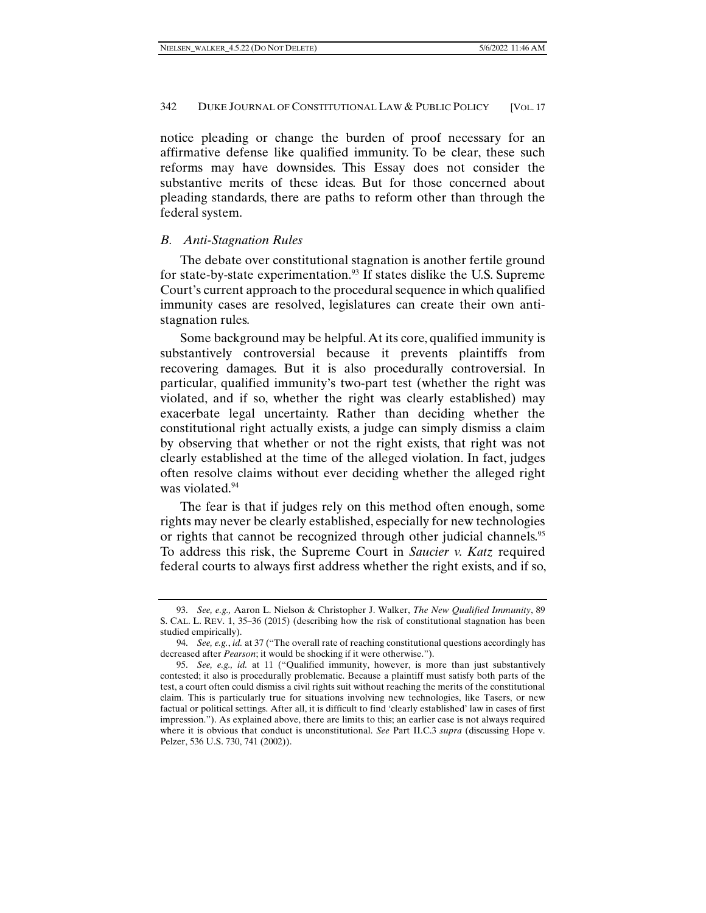notice pleading or change the burden of proof necessary for an affirmative defense like qualified immunity. To be clear, these such reforms may have downsides. This Essay does not consider the substantive merits of these ideas. But for those concerned about pleading standards, there are paths to reform other than through the federal system.

# *B. Anti-Stagnation Rules*

The debate over constitutional stagnation is another fertile ground for state-by-state experimentation.<sup>93</sup> If states dislike the U.S. Supreme Court's current approach to the procedural sequence in which qualified immunity cases are resolved, legislatures can create their own antistagnation rules.

Some background may be helpful. At its core, qualified immunity is substantively controversial because it prevents plaintiffs from recovering damages. But it is also procedurally controversial. In particular, qualified immunity's two-part test (whether the right was violated, and if so, whether the right was clearly established) may exacerbate legal uncertainty. Rather than deciding whether the constitutional right actually exists, a judge can simply dismiss a claim by observing that whether or not the right exists, that right was not clearly established at the time of the alleged violation. In fact, judges often resolve claims without ever deciding whether the alleged right was violated.<sup>94</sup>

The fear is that if judges rely on this method often enough, some rights may never be clearly established, especially for new technologies or rights that cannot be recognized through other judicial channels.<sup>95</sup> To address this risk, the Supreme Court in *Saucier v. Katz* required federal courts to always first address whether the right exists, and if so,

 <sup>93.</sup> *See, e.g.,* Aaron L. Nielson & Christopher J. Walker, *The New Qualified Immunity*, 89 S. CAL. L. REV. 1, 35–36 (2015) (describing how the risk of constitutional stagnation has been studied empirically).

 <sup>94.</sup> *See, e.g.*, *id.* at 37 ("The overall rate of reaching constitutional questions accordingly has decreased after *Pearson*; it would be shocking if it were otherwise.").

 <sup>95.</sup> *See, e.g., id.* at 11 ("Qualified immunity, however, is more than just substantively contested; it also is procedurally problematic. Because a plaintiff must satisfy both parts of the test, a court often could dismiss a civil rights suit without reaching the merits of the constitutional claim. This is particularly true for situations involving new technologies, like Tasers, or new factual or political settings. After all, it is difficult to find 'clearly established' law in cases of first impression."). As explained above, there are limits to this; an earlier case is not always required where it is obvious that conduct is unconstitutional. *See* Part II.C.3 *supra* (discussing Hope v. Pelzer, 536 U.S. 730, 741 (2002)).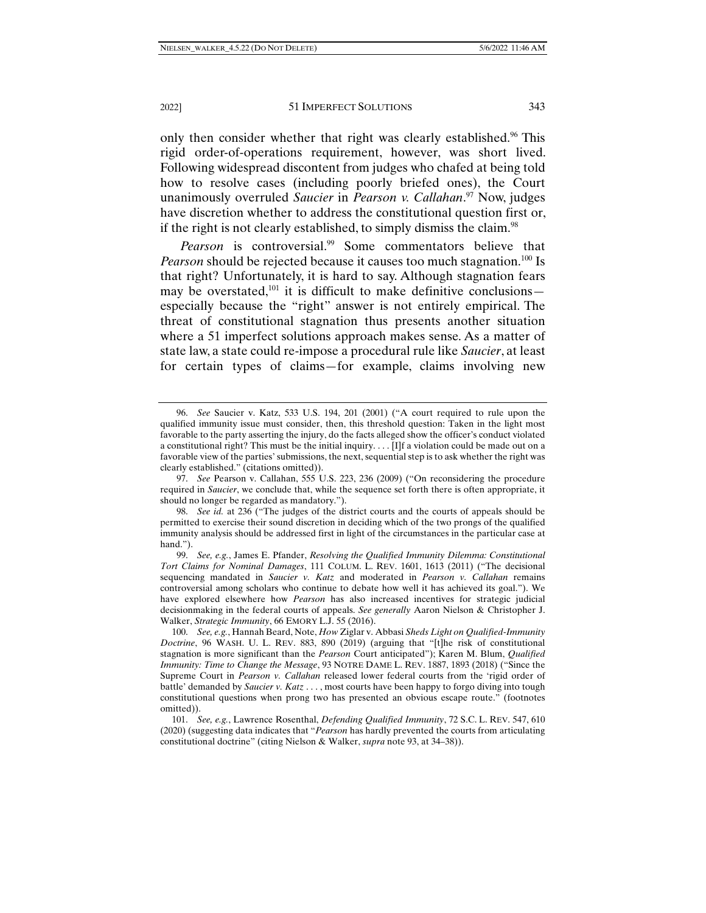2022] 51 IMPERFECT SOLUTIONS 343

only then consider whether that right was clearly established.<sup>96</sup> This rigid order-of-operations requirement, however, was short lived. Following widespread discontent from judges who chafed at being told how to resolve cases (including poorly briefed ones), the Court unanimously overruled *Saucier* in *Pearson v. Callahan*. 97 Now, judges have discretion whether to address the constitutional question first or, if the right is not clearly established, to simply dismiss the claim.<sup>98</sup>

Pearson is controversial.<sup>99</sup> Some commentators believe that *Pearson* should be rejected because it causes too much stagnation.<sup>100</sup> Is that right? Unfortunately, it is hard to say. Although stagnation fears may be overstated,<sup>101</sup> it is difficult to make definitive conclusions especially because the "right" answer is not entirely empirical. The threat of constitutional stagnation thus presents another situation where a 51 imperfect solutions approach makes sense. As a matter of state law, a state could re-impose a procedural rule like *Saucier*, at least for certain types of claims—for example, claims involving new

 <sup>96.</sup> *See* Saucier v. Katz, 533 U.S. 194, 201 (2001) ("A court required to rule upon the qualified immunity issue must consider, then, this threshold question: Taken in the light most favorable to the party asserting the injury, do the facts alleged show the officer's conduct violated a constitutional right? This must be the initial inquiry. . . . [I]f a violation could be made out on a favorable view of the parties' submissions, the next, sequential step is to ask whether the right was clearly established." (citations omitted)).

 <sup>97.</sup> *See* Pearson v. Callahan, 555 U.S. 223, 236 (2009) ("On reconsidering the procedure required in *Saucier*, we conclude that, while the sequence set forth there is often appropriate, it should no longer be regarded as mandatory.").

 <sup>98.</sup> *See id.* at 236 ("The judges of the district courts and the courts of appeals should be permitted to exercise their sound discretion in deciding which of the two prongs of the qualified immunity analysis should be addressed first in light of the circumstances in the particular case at hand.").

 <sup>99.</sup> *See, e.g.*, James E. Pfander, *Resolving the Qualified Immunity Dilemma: Constitutional Tort Claims for Nominal Damages*, 111 COLUM. L. REV. 1601, 1613 (2011) ("The decisional sequencing mandated in *Saucier v. Katz* and moderated in *Pearson v. Callahan* remains controversial among scholars who continue to debate how well it has achieved its goal."). We have explored elsewhere how *Pearson* has also increased incentives for strategic judicial decisionmaking in the federal courts of appeals. *See generally* Aaron Nielson & Christopher J. Walker, *Strategic Immunity*, 66 EMORY L.J. 55 (2016).

 <sup>100.</sup> *See, e.g.*, Hannah Beard, Note, *How* Ziglar v. Abbasi *Sheds Light on Qualified-Immunity Doctrine*, 96 WASH. U. L. REV. 883, 890 (2019) (arguing that "[t]he risk of constitutional stagnation is more significant than the *Pearson* Court anticipated"); Karen M. Blum, *Qualified Immunity: Time to Change the Message*, 93 NOTRE DAME L. REV. 1887, 1893 (2018) ("Since the Supreme Court in *Pearson v. Callahan* released lower federal courts from the 'rigid order of battle' demanded by *Saucier v. Katz* . . . , most courts have been happy to forgo diving into tough constitutional questions when prong two has presented an obvious escape route." (footnotes omitted)).

 <sup>101.</sup> *See, e.g.*, Lawrence Rosenthal, *Defending Qualified Immunity*, 72 S.C. L. REV. 547, 610 (2020) (suggesting data indicates that "*Pearson* has hardly prevented the courts from articulating constitutional doctrine" (citing Nielson & Walker, *supra* note 93, at 34–38)).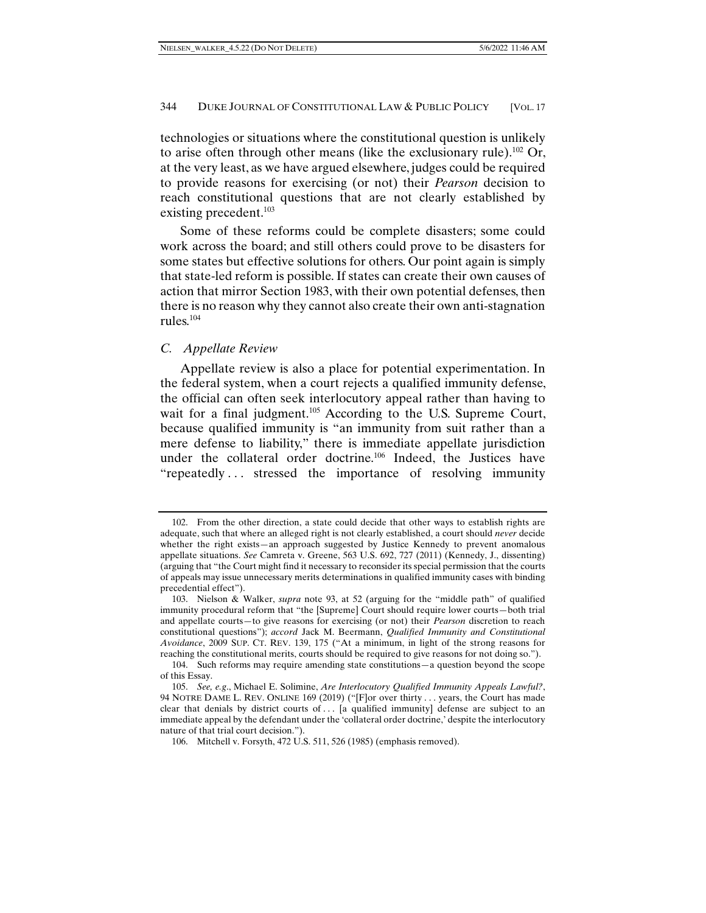technologies or situations where the constitutional question is unlikely to arise often through other means (like the exclusionary rule).<sup>102</sup> Or, at the very least, as we have argued elsewhere, judges could be required to provide reasons for exercising (or not) their *Pearson* decision to reach constitutional questions that are not clearly established by existing precedent.<sup>103</sup>

Some of these reforms could be complete disasters; some could work across the board; and still others could prove to be disasters for some states but effective solutions for others. Our point again is simply that state-led reform is possible. If states can create their own causes of action that mirror Section 1983, with their own potential defenses, then there is no reason why they cannot also create their own anti-stagnation rules.104

#### *C. Appellate Review*

Appellate review is also a place for potential experimentation. In the federal system, when a court rejects a qualified immunity defense, the official can often seek interlocutory appeal rather than having to wait for a final judgment.<sup>105</sup> According to the U.S. Supreme Court, because qualified immunity is "an immunity from suit rather than a mere defense to liability," there is immediate appellate jurisdiction under the collateral order doctrine.<sup>106</sup> Indeed, the Justices have "repeatedly... stressed the importance of resolving immunity

 <sup>102.</sup> From the other direction, a state could decide that other ways to establish rights are adequate, such that where an alleged right is not clearly established, a court should *never* decide whether the right exists—an approach suggested by Justice Kennedy to prevent anomalous appellate situations. *See* Camreta v. Greene, 563 U.S. 692, 727 (2011) (Kennedy, J., dissenting) (arguing that "the Court might find it necessary to reconsider its special permission that the courts of appeals may issue unnecessary merits determinations in qualified immunity cases with binding precedential effect").

 <sup>103.</sup> Nielson & Walker, *supra* note 93, at 52 (arguing for the "middle path" of qualified immunity procedural reform that "the [Supreme] Court should require lower courts—both trial and appellate courts—to give reasons for exercising (or not) their *Pearson* discretion to reach constitutional questions"); *accord* Jack M. Beermann, *Qualified Immunity and Constitutional Avoidance*, 2009 SUP. CT. REV. 139, 175 ("At a minimum, in light of the strong reasons for reaching the constitutional merits, courts should be required to give reasons for not doing so.").

 <sup>104.</sup> Such reforms may require amending state constitutions—a question beyond the scope of this Essay.

 <sup>105.</sup> *See, e.g*., Michael E. Solimine, *Are Interlocutory Qualified Immunity Appeals Lawful?*, 94 NOTRE DAME L. REV. ONLINE 169 (2019) ("[F]or over thirty . . . years, the Court has made clear that denials by district courts of . . . [a qualified immunity] defense are subject to an immediate appeal by the defendant under the 'collateral order doctrine,' despite the interlocutory nature of that trial court decision.").

 <sup>106.</sup> Mitchell v. Forsyth, 472 U.S. 511, 526 (1985) (emphasis removed).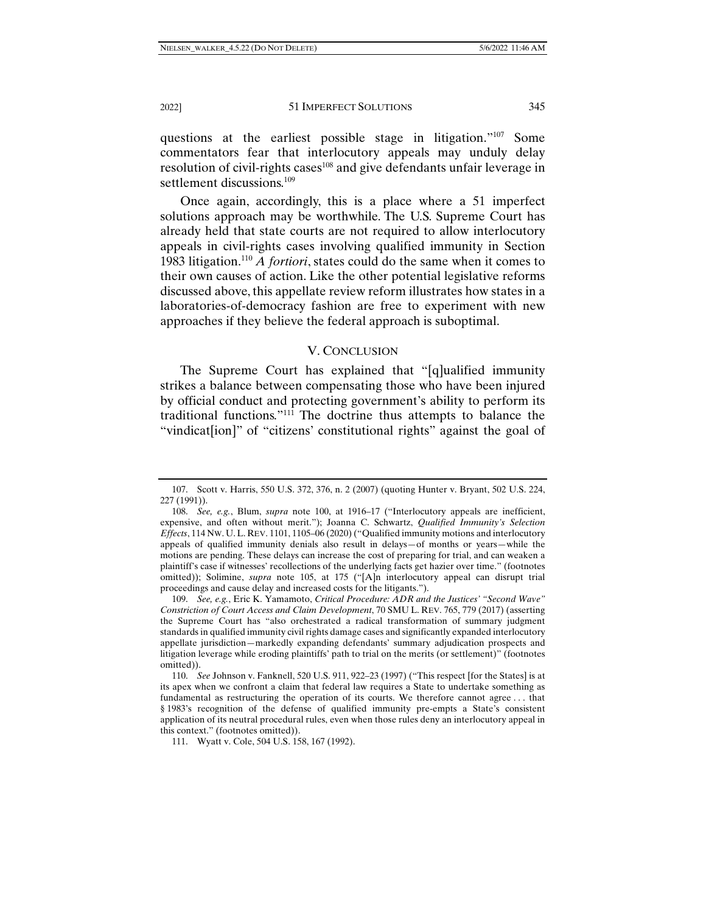questions at the earliest possible stage in litigation."107 Some commentators fear that interlocutory appeals may unduly delay resolution of civil-rights cases<sup>108</sup> and give defendants unfair leverage in settlement discussions.<sup>109</sup>

Once again, accordingly, this is a place where a 51 imperfect solutions approach may be worthwhile. The U.S. Supreme Court has already held that state courts are not required to allow interlocutory appeals in civil-rights cases involving qualified immunity in Section 1983 litigation.110 *A fortiori*, states could do the same when it comes to their own causes of action. Like the other potential legislative reforms discussed above, this appellate review reform illustrates how states in a laboratories-of-democracy fashion are free to experiment with new approaches if they believe the federal approach is suboptimal.

#### V. CONCLUSION

The Supreme Court has explained that "[q]ualified immunity strikes a balance between compensating those who have been injured by official conduct and protecting government's ability to perform its traditional functions."111 The doctrine thus attempts to balance the "vindicat[ion]" of "citizens' constitutional rights" against the goal of

 <sup>107.</sup> Scott v. Harris, 550 U.S. 372, 376, n. 2 (2007) (quoting Hunter v. Bryant, 502 U.S. 224, 227 (1991)).

 <sup>108.</sup> *See, e.g.*, Blum, *supra* note 100, at 1916–17 ("Interlocutory appeals are inefficient, expensive, and often without merit."); Joanna C. Schwartz, *Qualified Immunity's Selection Effects*, 114 NW. U.L. REV. 1101, 1105–06 (2020) ("Qualified immunity motions and interlocutory appeals of qualified immunity denials also result in delays—of months or years—while the motions are pending. These delays can increase the cost of preparing for trial, and can weaken a plaintiff's case if witnesses' recollections of the underlying facts get hazier over time." (footnotes omitted)); Solimine, *supra* note 105, at 175 ("[A]n interlocutory appeal can disrupt trial proceedings and cause delay and increased costs for the litigants.").

 <sup>109.</sup> *See, e.g.*, Eric K. Yamamoto, *Critical Procedure: ADR and the Justices' "Second Wave" Constriction of Court Access and Claim Development*, 70 SMU L. REV. 765, 779 (2017) (asserting the Supreme Court has "also orchestrated a radical transformation of summary judgment standards in qualified immunity civil rights damage cases and significantly expanded interlocutory appellate jurisdiction—markedly expanding defendants' summary adjudication prospects and litigation leverage while eroding plaintiffs' path to trial on the merits (or settlement)" (footnotes omitted)).

 <sup>110.</sup> *See* Johnson v. Fanknell, 520 U.S. 911, 922–23 (1997) ("This respect [for the States] is at its apex when we confront a claim that federal law requires a State to undertake something as fundamental as restructuring the operation of its courts. We therefore cannot agree . . . that § 1983's recognition of the defense of qualified immunity pre-empts a State's consistent application of its neutral procedural rules, even when those rules deny an interlocutory appeal in this context." (footnotes omitted)).

 <sup>111.</sup> Wyatt v. Cole, 504 U.S. 158, 167 (1992).